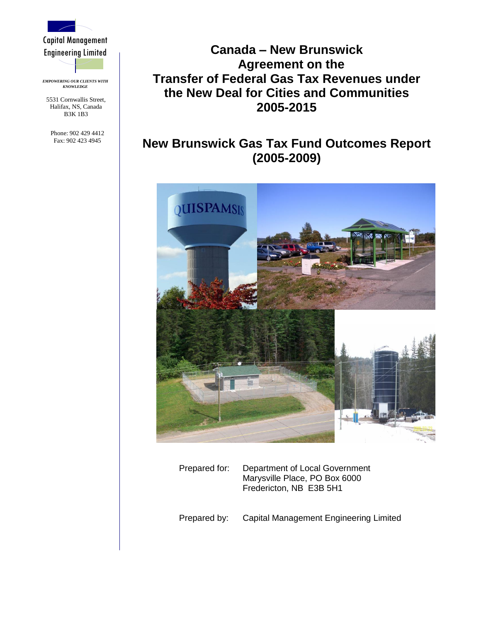

Capital Management Engineering Limited

*EMPOWERING OUR CLIENTS WITH KNOWLEDGE*

5531 Cornwallis Street, Halifax, NS, Canada B3K 1B3

Phone: 902 429 4412 Fax: 902 423 4945

# **Canada – New Brunswick Agreement on the Transfer of Federal Gas Tax Revenues under the New Deal for Cities and Communities 2005-2015**

# **New Brunswick Gas Tax Fund Outcomes Report (2005-2009)**



Prepared for: Department of Local Government Marysville Place, PO Box 6000 Fredericton, NB E3B 5H1

Prepared by: Capital Management Engineering Limited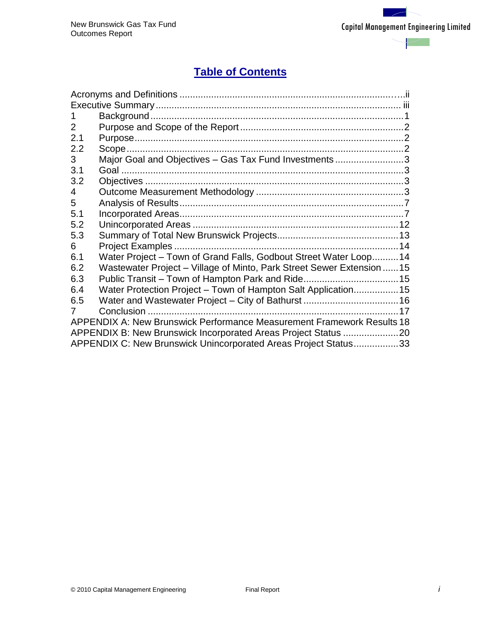$\overline{\phantom{0}}$ 

# **Table of Contents**

| 2   |                                                                        |
|-----|------------------------------------------------------------------------|
| 2.1 |                                                                        |
| 2.2 |                                                                        |
| 3   | Major Goal and Objectives - Gas Tax Fund Investments3                  |
| 3.1 |                                                                        |
| 3.2 |                                                                        |
| 4   |                                                                        |
| 5   |                                                                        |
| 5.1 |                                                                        |
| 5.2 |                                                                        |
| 5.3 |                                                                        |
| 6   |                                                                        |
| 6.1 | Water Project - Town of Grand Falls, Godbout Street Water Loop 14      |
| 6.2 | Wastewater Project – Village of Minto, Park Street Sewer Extension  15 |
| 6.3 |                                                                        |
| 6.4 | Water Protection Project – Town of Hampton Salt Application15          |
| 6.5 |                                                                        |
|     |                                                                        |
|     | APPENDIX A: New Brunswick Performance Measurement Framework Results 18 |
|     |                                                                        |
|     | APPENDIX C: New Brunswick Unincorporated Areas Project Status33        |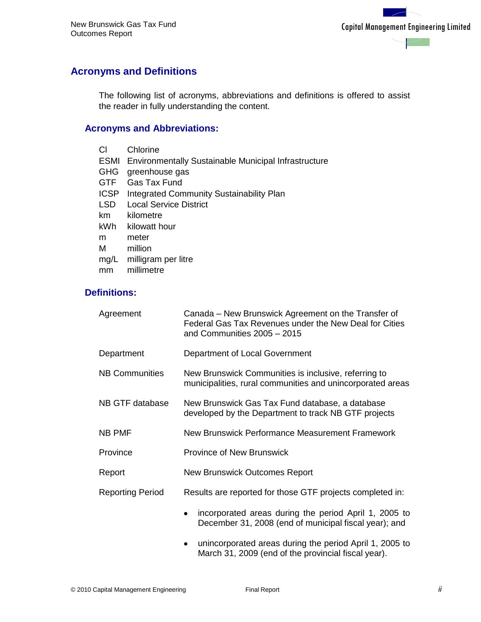## <span id="page-2-0"></span>**Acronyms and Definitions**

The following list of acronyms, abbreviations and definitions is offered to assist the reader in fully understanding the content.

## **Acronyms and Abbreviations:**

| СI          | Chlorine                                                         |
|-------------|------------------------------------------------------------------|
|             | <b>ESMI</b> Environmentally Sustainable Municipal Infrastructure |
| <b>GHG</b>  | greenhouse gas                                                   |
| <b>GTF</b>  | <b>Gas Tax Fund</b>                                              |
| <b>ICSP</b> | Integrated Community Sustainability Plan                         |
| <b>LSD</b>  | <b>Local Service District</b>                                    |
| km          | kilometre                                                        |
| kWh         | kilowatt hour                                                    |
| m           | meter                                                            |
| м           | million                                                          |
| mg/L        | milligram per litre                                              |
| mm          | millimetre                                                       |

## **Definitions:**

| Agreement               | Canada – New Brunswick Agreement on the Transfer of<br>Federal Gas Tax Revenues under the New Deal for Cities<br>and Communities 2005 - 2015 |  |  |  |
|-------------------------|----------------------------------------------------------------------------------------------------------------------------------------------|--|--|--|
| Department              | Department of Local Government                                                                                                               |  |  |  |
| <b>NB Communities</b>   | New Brunswick Communities is inclusive, referring to<br>municipalities, rural communities and unincorporated areas                           |  |  |  |
| NB GTF database         | New Brunswick Gas Tax Fund database, a database<br>developed by the Department to track NB GTF projects                                      |  |  |  |
| NB PMF                  | New Brunswick Performance Measurement Framework                                                                                              |  |  |  |
| Province                | <b>Province of New Brunswick</b>                                                                                                             |  |  |  |
| Report                  | <b>New Brunswick Outcomes Report</b>                                                                                                         |  |  |  |
| <b>Reporting Period</b> | Results are reported for those GTF projects completed in:                                                                                    |  |  |  |
|                         | incorporated areas during the period April 1, 2005 to<br>December 31, 2008 (end of municipal fiscal year); and                               |  |  |  |
|                         | unincorporated areas during the period April 1, 2005 to                                                                                      |  |  |  |

unincorporated areas during the period April 1, 2005 to March 31, 2009 (end of the provincial fiscal year).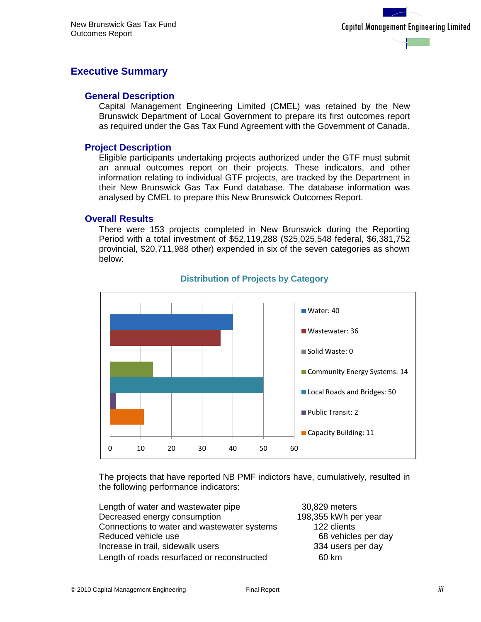## <span id="page-3-0"></span>**Executive Summary**

### **General Description**

Capital Management Engineering Limited (CMEL) was retained by the New Brunswick Department of Local Government to prepare its first outcomes report as required under the Gas Tax Fund Agreement with the Government of Canada.

### **Project Description**

Eligible participants undertaking projects authorized under the GTF must submit an annual outcomes report on their projects. These indicators, and other information relating to individual GTF projects, are tracked by the Department in their New Brunswick Gas Tax Fund database. The database information was analysed by CMEL to prepare this New Brunswick Outcomes Report.

#### **Overall Results**

There were 153 projects completed in New Brunswick during the Reporting Period with a total investment of \$52,119,288 (\$25,025,548 federal, \$6,381,752 provincial, \$20,711,988 other) expended in six of the seven categories as shown below:



#### **Distribution of Projects by Category**

The projects that have reported NB PMF indictors have, cumulatively, resulted in the following performance indicators:

| Length of water and wastewater pipe         | 30,829 meters        |
|---------------------------------------------|----------------------|
| Decreased energy consumption                | 198,355 kWh per year |
| Connections to water and wastewater systems | 122 clients          |
| Reduced vehicle use                         | 68 vehicles per day  |
| Increase in trail, sidewalk users           | 334 users per day    |
| Length of roads resurfaced or reconstructed | 60 km                |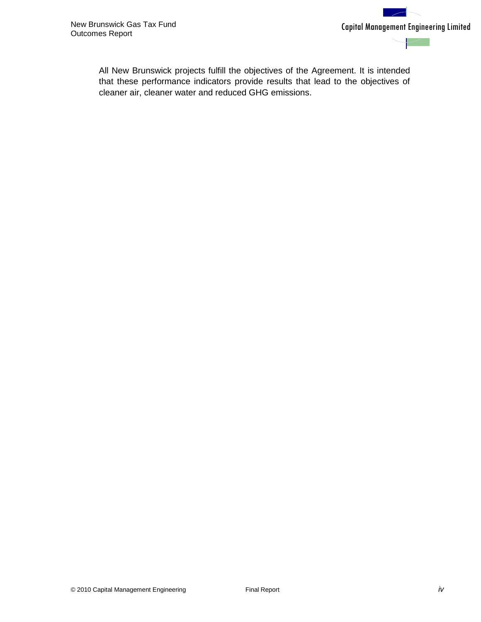

All New Brunswick projects fulfill the objectives of the Agreement. It is intended that these performance indicators provide results that lead to the objectives of cleaner air, cleaner water and reduced GHG emissions.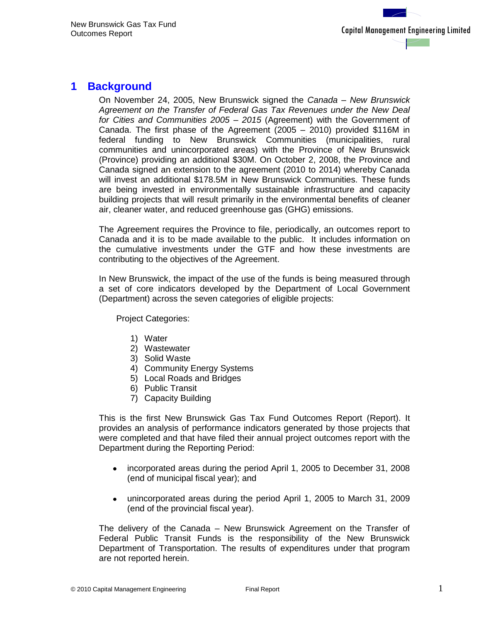## <span id="page-5-0"></span>**1 Background**

On November 24, 2005, New Brunswick signed the *Canada – New Brunswick Agreement on the Transfer of Federal Gas Tax Revenues under the New Deal for Cities and Communities 2005 – 2015* (Agreement) with the Government of Canada. The first phase of the Agreement (2005 – 2010) provided \$116M in federal funding to New Brunswick Communities (municipalities, rural communities and unincorporated areas) with the Province of New Brunswick (Province) providing an additional \$30M. On October 2, 2008, the Province and Canada signed an extension to the agreement (2010 to 2014) whereby Canada will invest an additional \$178.5M in New Brunswick Communities. These funds are being invested in environmentally sustainable infrastructure and capacity building projects that will result primarily in the environmental benefits of cleaner air, cleaner water, and reduced greenhouse gas (GHG) emissions.

The Agreement requires the Province to file, periodically, an outcomes report to Canada and it is to be made available to the public. It includes information on the cumulative investments under the GTF and how these investments are contributing to the objectives of the Agreement.

In New Brunswick, the impact of the use of the funds is being measured through a set of core indicators developed by the Department of Local Government (Department) across the seven categories of eligible projects:

Project Categories:

- 1) Water
- 2) Wastewater
- 3) Solid Waste
- 4) Community Energy Systems
- 5) Local Roads and Bridges
- 6) Public Transit
- 7) Capacity Building

This is the first New Brunswick Gas Tax Fund Outcomes Report (Report). It provides an analysis of performance indicators generated by those projects that were completed and that have filed their annual project outcomes report with the Department during the Reporting Period:

- incorporated areas during the period April 1, 2005 to December 31, 2008  $\bullet$ (end of municipal fiscal year); and
- unincorporated areas during the period April 1, 2005 to March 31, 2009  $\bullet$ (end of the provincial fiscal year).

The delivery of the Canada – New Brunswick Agreement on the Transfer of Federal Public Transit Funds is the responsibility of the New Brunswick Department of Transportation. The results of expenditures under that program are not reported herein.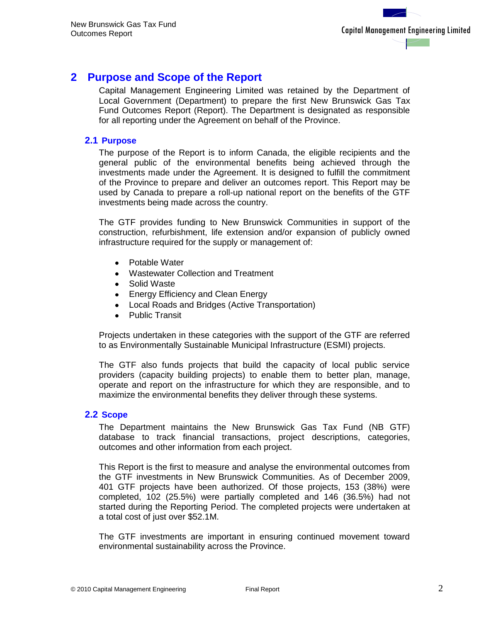## <span id="page-6-0"></span>**2 Purpose and Scope of the Report**

Capital Management Engineering Limited was retained by the Department of Local Government (Department) to prepare the first New Brunswick Gas Tax Fund Outcomes Report (Report). The Department is designated as responsible for all reporting under the Agreement on behalf of the Province.

## <span id="page-6-1"></span>**2.1 Purpose**

The purpose of the Report is to inform Canada, the eligible recipients and the general public of the environmental benefits being achieved through the investments made under the Agreement. It is designed to fulfill the commitment of the Province to prepare and deliver an outcomes report. This Report may be used by Canada to prepare a roll-up national report on the benefits of the GTF investments being made across the country.

The GTF provides funding to New Brunswick Communities in support of the construction, refurbishment, life extension and/or expansion of publicly owned infrastructure required for the supply or management of:

- Potable Water
- Wastewater Collection and Treatment
- Solid Waste
- $\bullet$ Energy Efficiency and Clean Energy
- Local Roads and Bridges (Active Transportation)
- Public Transit

Projects undertaken in these categories with the support of the GTF are referred to as Environmentally Sustainable Municipal Infrastructure (ESMI) projects.

The GTF also funds projects that build the capacity of local public service providers (capacity building projects) to enable them to better plan, manage, operate and report on the infrastructure for which they are responsible, and to maximize the environmental benefits they deliver through these systems.

### <span id="page-6-2"></span>**2.2 Scope**

The Department maintains the New Brunswick Gas Tax Fund (NB GTF) database to track financial transactions, project descriptions, categories, outcomes and other information from each project.

This Report is the first to measure and analyse the environmental outcomes from the GTF investments in New Brunswick Communities. As of December 2009, 401 GTF projects have been authorized. Of those projects, 153 (38%) were completed, 102 (25.5%) were partially completed and 146 (36.5%) had not started during the Reporting Period. The completed projects were undertaken at a total cost of just over \$52.1M.

The GTF investments are important in ensuring continued movement toward environmental sustainability across the Province.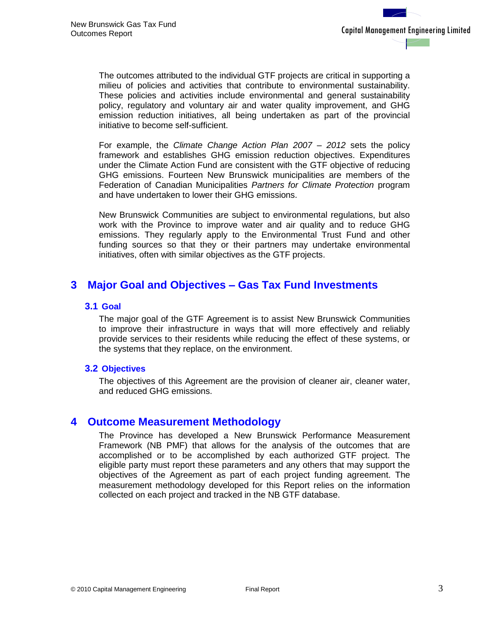The outcomes attributed to the individual GTF projects are critical in supporting a milieu of policies and activities that contribute to environmental sustainability. These policies and activities include environmental and general sustainability policy, regulatory and voluntary air and water quality improvement, and GHG emission reduction initiatives, all being undertaken as part of the provincial initiative to become self-sufficient.

For example, the *Climate Change Action Plan 2007 – 2012* sets the policy framework and establishes GHG emission reduction objectives. Expenditures under the Climate Action Fund are consistent with the GTF objective of reducing GHG emissions. Fourteen New Brunswick municipalities are members of the Federation of Canadian Municipalities *Partners for Climate Protection* program and have undertaken to lower their GHG emissions.

New Brunswick Communities are subject to environmental regulations, but also work with the Province to improve water and air quality and to reduce GHG emissions. They regularly apply to the Environmental Trust Fund and other funding sources so that they or their partners may undertake environmental initiatives, often with similar objectives as the GTF projects.

## <span id="page-7-1"></span><span id="page-7-0"></span>**3 Major Goal and Objectives – Gas Tax Fund Investments**

### **3.1 Goal**

The major goal of the GTF Agreement is to assist New Brunswick Communities to improve their infrastructure in ways that will more effectively and reliably provide services to their residents while reducing the effect of these systems, or the systems that they replace, on the environment.

#### <span id="page-7-2"></span>**3.2 Objectives**

The objectives of this Agreement are the provision of cleaner air, cleaner water, and reduced GHG emissions.

## <span id="page-7-3"></span>**4 Outcome Measurement Methodology**

The Province has developed a New Brunswick Performance Measurement Framework (NB PMF) that allows for the analysis of the outcomes that are accomplished or to be accomplished by each authorized GTF project. The eligible party must report these parameters and any others that may support the objectives of the Agreement as part of each project funding agreement. The measurement methodology developed for this Report relies on the information collected on each project and tracked in the NB GTF database.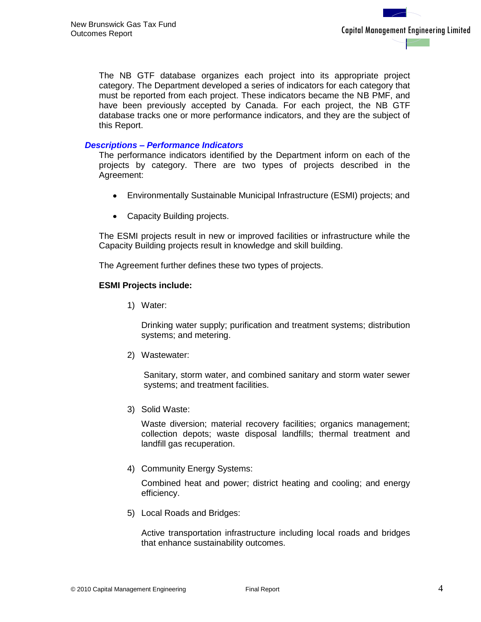The NB GTF database organizes each project into its appropriate project category. The Department developed a series of indicators for each category that must be reported from each project. These indicators became the NB PMF, and have been previously accepted by Canada. For each project, the NB GTF database tracks one or more performance indicators, and they are the subject of this Report.

#### *Descriptions – Performance Indicators*

The performance indicators identified by the Department inform on each of the projects by category. There are two types of projects described in the Agreement:

- Environmentally Sustainable Municipal Infrastructure (ESMI) projects; and
- Capacity Building projects.

The ESMI projects result in new or improved facilities or infrastructure while the Capacity Building projects result in knowledge and skill building.

The Agreement further defines these two types of projects.

#### **ESMI Projects include:**

1) Water:

Drinking water supply; purification and treatment systems; distribution systems; and metering.

2) Wastewater:

Sanitary, storm water, and combined sanitary and storm water sewer systems; and treatment facilities.

3) Solid Waste:

Waste diversion; material recovery facilities; organics management; collection depots; waste disposal landfills; thermal treatment and landfill gas recuperation.

4) Community Energy Systems:

Combined heat and power; district heating and cooling; and energy efficiency.

5) Local Roads and Bridges:

Active transportation infrastructure including local roads and bridges that enhance sustainability outcomes.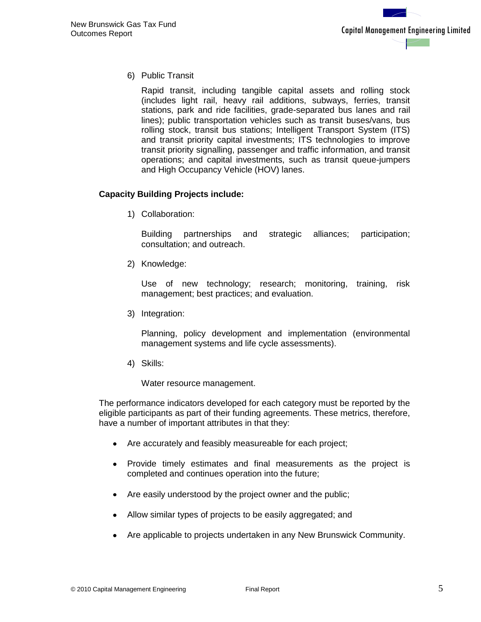6) Public Transit

Rapid transit, including tangible capital assets and rolling stock (includes light rail, heavy rail additions, subways, ferries, transit stations, park and ride facilities, grade-separated bus lanes and rail lines); public transportation vehicles such as transit buses/vans, bus rolling stock, transit bus stations; Intelligent Transport System (ITS) and transit priority capital investments; ITS technologies to improve transit priority signalling, passenger and traffic information, and transit operations; and capital investments, such as transit queue-jumpers and High Occupancy Vehicle (HOV) lanes.

## **Capacity Building Projects include:**

1) Collaboration:

Building partnerships and strategic alliances; participation; consultation; and outreach.

2) Knowledge:

Use of new technology; research; monitoring, training, risk management; best practices; and evaluation.

3) Integration:

Planning, policy development and implementation (environmental management systems and life cycle assessments).

4) Skills:

Water resource management.

The performance indicators developed for each category must be reported by the eligible participants as part of their funding agreements. These metrics, therefore, have a number of important attributes in that they:

- Are accurately and feasibly measureable for each project;
- $\bullet$ Provide timely estimates and final measurements as the project is completed and continues operation into the future;
- Are easily understood by the project owner and the public;
- Allow similar types of projects to be easily aggregated; and
- Are applicable to projects undertaken in any New Brunswick Community.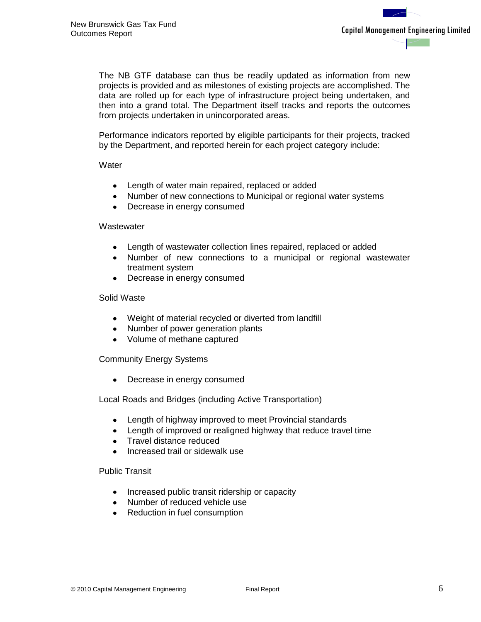The NB GTF database can thus be readily updated as information from new projects is provided and as milestones of existing projects are accomplished. The data are rolled up for each type of infrastructure project being undertaken, and then into a grand total. The Department itself tracks and reports the outcomes from projects undertaken in unincorporated areas.

Performance indicators reported by eligible participants for their projects, tracked by the Department, and reported herein for each project category include:

#### **Water**

- Length of water main repaired, replaced or added  $\bullet$
- Number of new connections to Municipal or regional water systems
- Decrease in energy consumed  $\bullet$

#### **Wastewater**

- Length of wastewater collection lines repaired, replaced or added  $\bullet$
- Number of new connections to a municipal or regional wastewater  $\bullet$ treatment system
- Decrease in energy consumed  $\bullet$

#### Solid Waste

- Weight of material recycled or diverted from landfill
- Number of power generation plants
- Volume of methane captured

Community Energy Systems

Decrease in energy consumed  $\bullet$ 

Local Roads and Bridges (including Active Transportation)

- Length of highway improved to meet Provincial standards  $\bullet$
- Length of improved or realigned highway that reduce travel time
- Travel distance reduced
- Increased trail or sidewalk use

Public Transit

- Increased public transit ridership or capacity  $\bullet$
- Number of reduced vehicle use
- Reduction in fuel consumption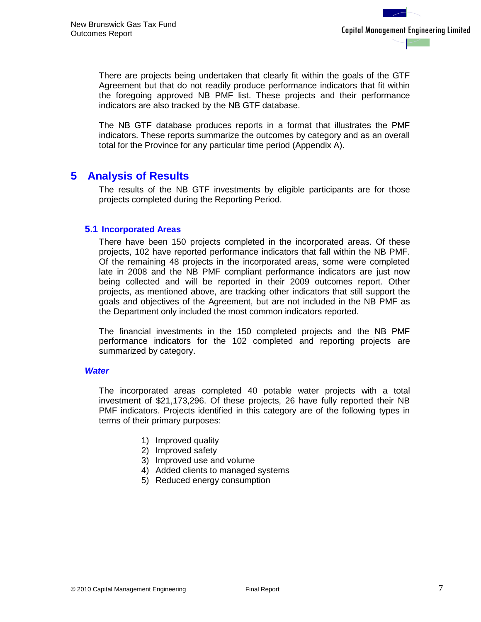There are projects being undertaken that clearly fit within the goals of the GTF Agreement but that do not readily produce performance indicators that fit within the foregoing approved NB PMF list. These projects and their performance indicators are also tracked by the NB GTF database.

The NB GTF database produces reports in a format that illustrates the PMF indicators. These reports summarize the outcomes by category and as an overall total for the Province for any particular time period (Appendix A).

## <span id="page-11-0"></span>**5 Analysis of Results**

The results of the NB GTF investments by eligible participants are for those projects completed during the Reporting Period.

### <span id="page-11-1"></span>**5.1 Incorporated Areas**

There have been 150 projects completed in the incorporated areas. Of these projects, 102 have reported performance indicators that fall within the NB PMF. Of the remaining 48 projects in the incorporated areas, some were completed late in 2008 and the NB PMF compliant performance indicators are just now being collected and will be reported in their 2009 outcomes report. Other projects, as mentioned above, are tracking other indicators that still support the goals and objectives of the Agreement, but are not included in the NB PMF as the Department only included the most common indicators reported.

The financial investments in the 150 completed projects and the NB PMF performance indicators for the 102 completed and reporting projects are summarized by category.

#### *Water*

The incorporated areas completed 40 potable water projects with a total investment of \$21,173,296. Of these projects, 26 have fully reported their NB PMF indicators. Projects identified in this category are of the following types in terms of their primary purposes:

- 1) Improved quality
- 2) Improved safety
- 3) Improved use and volume
- 4) Added clients to managed systems
- 5) Reduced energy consumption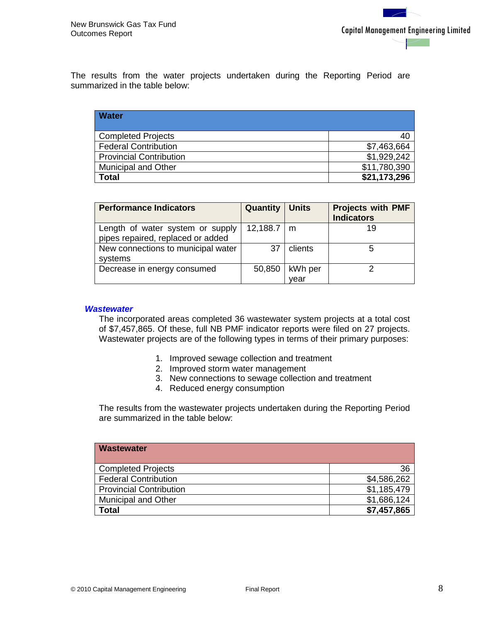The results from the water projects undertaken during the Reporting Period are summarized in the table below:

| <b>Water</b>                   |              |
|--------------------------------|--------------|
| <b>Completed Projects</b>      | 40           |
| <b>Federal Contribution</b>    | \$7,463,664  |
| <b>Provincial Contribution</b> | \$1,929,242  |
| <b>Municipal and Other</b>     | \$11,780,390 |
| <b>Total</b>                   | \$21,173,296 |

| <b>Performance Indicators</b>      | <b>Quantity   Units</b> |         | <b>Projects with PMF</b> |
|------------------------------------|-------------------------|---------|--------------------------|
|                                    |                         |         | <b>Indicators</b>        |
| Length of water system or supply   | $12,188.7 \mid m$       |         | 19                       |
| pipes repaired, replaced or added  |                         |         |                          |
| New connections to municipal water | 37                      | clients |                          |
| systems                            |                         |         |                          |
| Decrease in energy consumed        | 50,850                  | kWh per |                          |
|                                    |                         | vear    |                          |

#### *Wastewater*

The incorporated areas completed 36 wastewater system projects at a total cost of \$7,457,865. Of these, full NB PMF indicator reports were filed on 27 projects. Wastewater projects are of the following types in terms of their primary purposes:

- 1. Improved sewage collection and treatment
- 2. Improved storm water management
- 3. New connections to sewage collection and treatment
- 4. Reduced energy consumption

The results from the wastewater projects undertaken during the Reporting Period are summarized in the table below:

| <b>Wastewater</b>              |             |
|--------------------------------|-------------|
| <b>Completed Projects</b>      | 36          |
| <b>Federal Contribution</b>    | \$4,586,262 |
| <b>Provincial Contribution</b> | \$1,185,479 |
| <b>Municipal and Other</b>     | \$1,686,124 |
| <b>Total</b>                   | \$7,457,865 |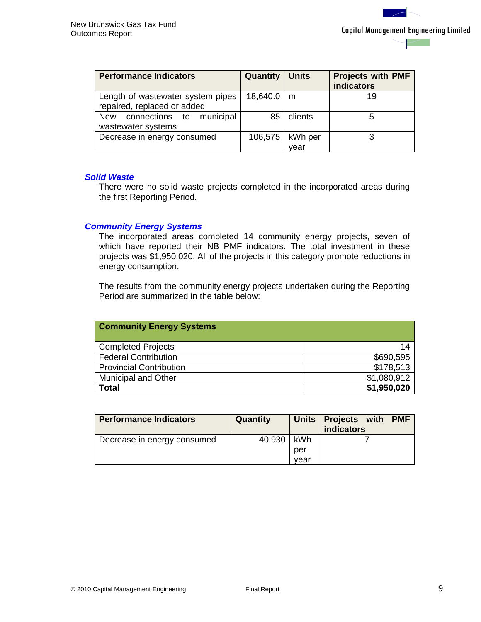| <b>Performance Indicators</b>                                    | <b>Quantity   Units</b> |                           | <b>Projects with PMF</b><br><b>indicators</b> |
|------------------------------------------------------------------|-------------------------|---------------------------|-----------------------------------------------|
| Length of wastewater system pipes<br>repaired, replaced or added | $18,640.0 \mid m$       |                           | 19                                            |
| New connections to municipal<br>wastewater systems               | 85                      | clients                   | 5                                             |
| Decrease in energy consumed                                      |                         | 106,575   kWh per<br>vear | 3                                             |

#### *Solid Waste*

There were no solid waste projects completed in the incorporated areas during the first Reporting Period.

#### *Community Energy Systems*

The incorporated areas completed 14 community energy projects, seven of which have reported their NB PMF indicators. The total investment in these projects was \$1,950,020. All of the projects in this category promote reductions in energy consumption.

The results from the community energy projects undertaken during the Reporting Period are summarized in the table below:

| <b>Community Energy Systems</b> |             |
|---------------------------------|-------------|
| <b>Completed Projects</b>       | 14          |
| <b>Federal Contribution</b>     | \$690,595   |
| <b>Provincial Contribution</b>  | \$178,513   |
| <b>Municipal and Other</b>      | \$1,080,912 |
| <b>Total</b>                    | \$1,950,020 |

| <b>Performance Indicators</b> | Quantity |      | Units   Projects with PMF<br><b>indicators</b> |
|-------------------------------|----------|------|------------------------------------------------|
| Decrease in energy consumed   | 40,930   | kWh  |                                                |
|                               |          | per  |                                                |
|                               |          | vear |                                                |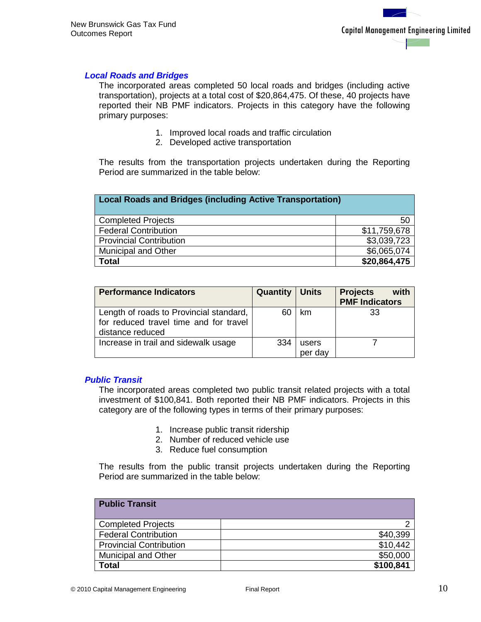#### *Local Roads and Bridges*

The incorporated areas completed 50 local roads and bridges (including active transportation), projects at a total cost of \$20,864,475. Of these, 40 projects have reported their NB PMF indicators. Projects in this category have the following primary purposes:

- 1. Improved local roads and traffic circulation
- 2. Developed active transportation

The results from the transportation projects undertaken during the Reporting Period are summarized in the table below:

| <b>Local Roads and Bridges (including Active Transportation)</b> |              |  |
|------------------------------------------------------------------|--------------|--|
| <b>Completed Projects</b>                                        | 50           |  |
| <b>Federal Contribution</b>                                      | \$11,759,678 |  |
| <b>Provincial Contribution</b>                                   | \$3,039,723  |  |
| \$6,065,074<br><b>Municipal and Other</b>                        |              |  |
| <b>Total</b>                                                     | \$20,864,475 |  |

| <b>Performance Indicators</b>           | <b>Quantity   Units</b> |         | <b>Projects</b><br>with |
|-----------------------------------------|-------------------------|---------|-------------------------|
|                                         |                         |         | <b>PMF Indicators</b>   |
| Length of roads to Provincial standard, |                         | km      | 33                      |
| for reduced travel time and for travel  |                         |         |                         |
| distance reduced                        |                         |         |                         |
| Increase in trail and sidewalk usage    | 334                     | users   |                         |
|                                         |                         | per day |                         |

#### *Public Transit*

The incorporated areas completed two public transit related projects with a total investment of \$100,841. Both reported their NB PMF indicators. Projects in this category are of the following types in terms of their primary purposes:

- 1. Increase public transit ridership
- 2. Number of reduced vehicle use
- 3. Reduce fuel consumption

The results from the public transit projects undertaken during the Reporting Period are summarized in the table below:

| <b>Public Transit</b>          |           |
|--------------------------------|-----------|
| <b>Completed Projects</b>      |           |
| <b>Federal Contribution</b>    | \$40,399  |
| <b>Provincial Contribution</b> | \$10,442  |
| <b>Municipal and Other</b>     | \$50,000  |
| <b>Total</b>                   | \$100,841 |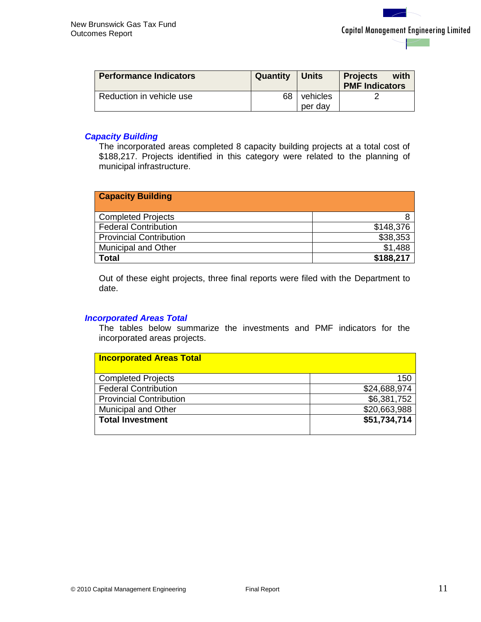| <b>Performance Indicators</b> | Quantity | <b>Units</b>        | with<br><b>Projects</b><br><b>PMF Indicators</b> |
|-------------------------------|----------|---------------------|--------------------------------------------------|
| Reduction in vehicle use      | 68       | vehicles<br>per day |                                                  |

### *Capacity Building*

The incorporated areas completed 8 capacity building projects at a total cost of \$188,217. Projects identified in this category were related to the planning of municipal infrastructure.

| <b>Capacity Building</b>       |           |
|--------------------------------|-----------|
| <b>Completed Projects</b>      |           |
| <b>Federal Contribution</b>    | \$148,376 |
| <b>Provincial Contribution</b> | \$38,353  |
| <b>Municipal and Other</b>     | \$1,488   |
| Total                          | \$188,217 |

Out of these eight projects, three final reports were filed with the Department to date.

#### *Incorporated Areas Total*

The tables below summarize the investments and PMF indicators for the incorporated areas projects.

| <b>Incorporated Areas Total</b> |              |
|---------------------------------|--------------|
| <b>Completed Projects</b>       | 150          |
| <b>Federal Contribution</b>     | \$24,688,974 |
| <b>Provincial Contribution</b>  | \$6,381,752  |
| <b>Municipal and Other</b>      | \$20,663,988 |
| <b>Total Investment</b>         | \$51,734,714 |
|                                 |              |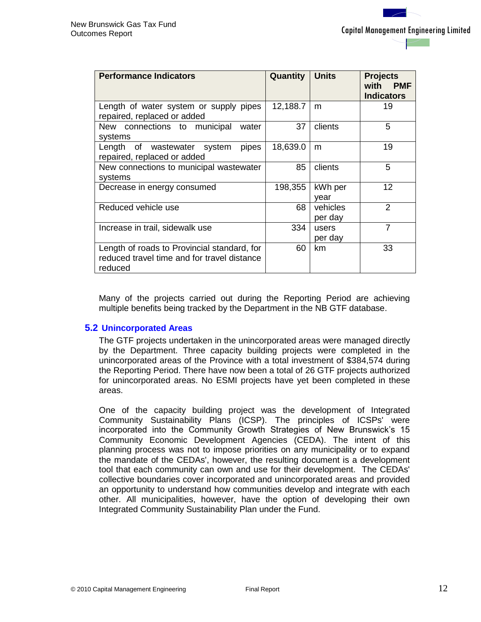| <b>Performance Indicators</b>                                                                         | Quantity | <b>Units</b>        | <b>Projects</b><br>with<br><b>PMF</b><br><b>Indicators</b> |
|-------------------------------------------------------------------------------------------------------|----------|---------------------|------------------------------------------------------------|
| Length of water system or supply pipes<br>repaired, replaced or added                                 | 12,188.7 | m                   | 19                                                         |
| New connections to municipal<br>water<br>systems                                                      | 37       | clients             | 5                                                          |
| Length of wastewater system<br>pipes<br>repaired, replaced or added                                   | 18,639.0 | m                   | 19                                                         |
| New connections to municipal wastewater<br>systems                                                    | 85       | clients             | 5                                                          |
| Decrease in energy consumed                                                                           | 198,355  | kWh per<br>vear     | 12                                                         |
| Reduced vehicle use                                                                                   | 68       | vehicles<br>per day | 2                                                          |
| Increase in trail, sidewalk use                                                                       | 334      | users<br>per day    | 7                                                          |
| Length of roads to Provincial standard, for<br>reduced travel time and for travel distance<br>reduced | 60       | km                  | 33                                                         |

Many of the projects carried out during the Reporting Period are achieving multiple benefits being tracked by the Department in the NB GTF database.

#### <span id="page-16-0"></span>**5.2 Unincorporated Areas**

The GTF projects undertaken in the unincorporated areas were managed directly by the Department. Three capacity building projects were completed in the unincorporated areas of the Province with a total investment of \$384,574 during the Reporting Period. There have now been a total of 26 GTF projects authorized for unincorporated areas. No ESMI projects have yet been completed in these areas.

One of the capacity building project was the development of Integrated Community Sustainability Plans (ICSP). The principles of ICSPs' were incorporated into the Community Growth Strategies of New Brunswick's 15 Community Economic Development Agencies (CEDA). The intent of this planning process was not to impose priorities on any municipality or to expand the mandate of the CEDAs', however, the resulting document is a development tool that each community can own and use for their development. The CEDAs' collective boundaries cover incorporated and unincorporated areas and provided an opportunity to understand how communities develop and integrate with each other. All municipalities, however, have the option of developing their own Integrated Community Sustainability Plan under the Fund.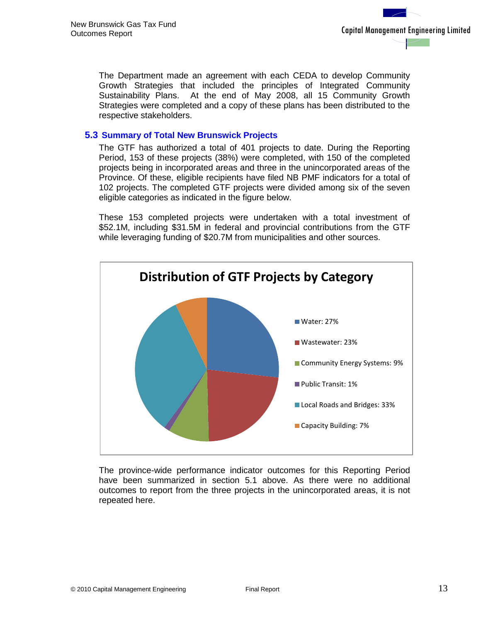The Department made an agreement with each CEDA to develop Community Growth Strategies that included the principles of Integrated Community Sustainability Plans. At the end of May 2008, all 15 Community Growth Strategies were completed and a copy of these plans has been distributed to the respective stakeholders.

## <span id="page-17-0"></span>**5.3 Summary of Total New Brunswick Projects**

The GTF has authorized a total of 401 projects to date. During the Reporting Period, 153 of these projects (38%) were completed, with 150 of the completed projects being in incorporated areas and three in the unincorporated areas of the Province. Of these, eligible recipients have filed NB PMF indicators for a total of 102 projects. The completed GTF projects were divided among six of the seven eligible categories as indicated in the figure below.

These 153 completed projects were undertaken with a total investment of \$52.1M, including \$31.5M in federal and provincial contributions from the GTF while leveraging funding of \$20.7M from municipalities and other sources.



The province-wide performance indicator outcomes for this Reporting Period have been summarized in section 5.1 above. As there were no additional outcomes to report from the three projects in the unincorporated areas, it is not repeated here.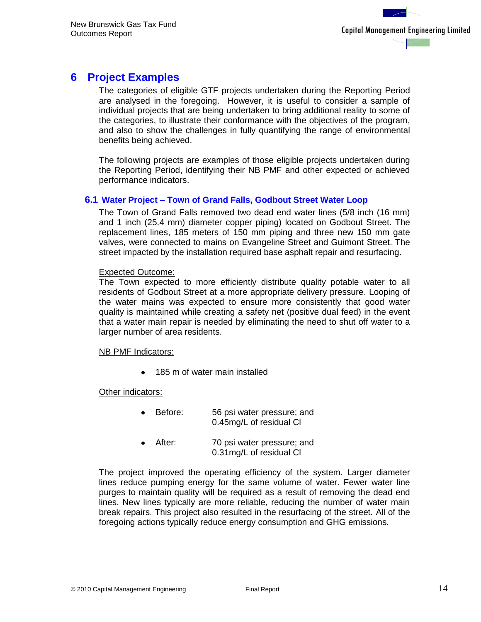## <span id="page-18-0"></span>**6 Project Examples**

The categories of eligible GTF projects undertaken during the Reporting Period are analysed in the foregoing. However, it is useful to consider a sample of individual projects that are being undertaken to bring additional reality to some of the categories, to illustrate their conformance with the objectives of the program, and also to show the challenges in fully quantifying the range of environmental benefits being achieved.

The following projects are examples of those eligible projects undertaken during the Reporting Period, identifying their NB PMF and other expected or achieved performance indicators.

#### <span id="page-18-1"></span>**6.1 Water Project – Town of Grand Falls, Godbout Street Water Loop**

The Town of Grand Falls removed two dead end water lines (5/8 inch (16 mm) and 1 inch (25.4 mm) diameter copper piping) located on Godbout Street. The replacement lines, 185 meters of 150 mm piping and three new 150 mm gate valves, were connected to mains on Evangeline Street and Guimont Street. The street impacted by the installation required base asphalt repair and resurfacing.

#### Expected Outcome:

The Town expected to more efficiently distribute quality potable water to all residents of Godbout Street at a more appropriate delivery pressure. Looping of the water mains was expected to ensure more consistently that good water quality is maintained while creating a safety net (positive dual feed) in the event that a water main repair is needed by eliminating the need to shut off water to a larger number of area residents.

#### NB PMF Indicators:

• 185 m of water main installed

#### Other indicators:

- Before: 56 psi water pressure; and 0.45mg/L of residual Cl
- After: 70 psi water pressure; and 0.31mg/L of residual Cl

The project improved the operating efficiency of the system. Larger diameter lines reduce pumping energy for the same volume of water. Fewer water line purges to maintain quality will be required as a result of removing the dead end lines. New lines typically are more reliable, reducing the number of water main break repairs. This project also resulted in the resurfacing of the street. All of the foregoing actions typically reduce energy consumption and GHG emissions.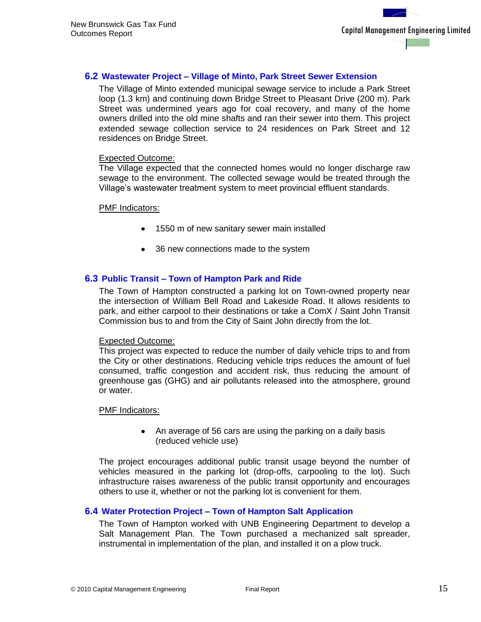### <span id="page-19-0"></span>**6.2 Wastewater Project – Village of Minto, Park Street Sewer Extension**

The Village of Minto extended municipal sewage service to include a Park Street loop (1.3 km) and continuing down Bridge Street to Pleasant Drive (200 m). Park Street was undermined years ago for coal recovery, and many of the home owners drilled into the old mine shafts and ran their sewer into them. This project extended sewage collection service to 24 residences on Park Street and 12 residences on Bridge Street.

#### Expected Outcome:

The Village expected that the connected homes would no longer discharge raw sewage to the environment. The collected sewage would be treated through the Village's wastewater treatment system to meet provincial effluent standards.

#### PMF Indicators:

- 1550 m of new sanitary sewer main installed
- 36 new connections made to the system

#### <span id="page-19-1"></span>**6.3 Public Transit – Town of Hampton Park and Ride**

The Town of Hampton constructed a parking lot on Town-owned property near the intersection of William Bell Road and Lakeside Road. It allows residents to park, and either carpool to their destinations or take a ComX / Saint John Transit Commission bus to and from the City of Saint John directly from the lot.

#### Expected Outcome:

This project was expected to reduce the number of daily vehicle trips to and from the City or other destinations. Reducing vehicle trips reduces the amount of fuel consumed, traffic congestion and accident risk, thus reducing the amount of greenhouse gas (GHG) and air pollutants released into the atmosphere, ground or water.

#### PMF Indicators:

• An average of 56 cars are using the parking on a daily basis (reduced vehicle use)

The project encourages additional public transit usage beyond the number of vehicles measured in the parking lot (drop-offs, carpooling to the lot). Such infrastructure raises awareness of the public transit opportunity and encourages others to use it, whether or not the parking lot is convenient for them.

#### <span id="page-19-2"></span>**6.4 Water Protection Project – Town of Hampton Salt Application**

The Town of Hampton worked with UNB Engineering Department to develop a Salt Management Plan. The Town purchased a mechanized salt spreader, instrumental in implementation of the plan, and installed it on a plow truck.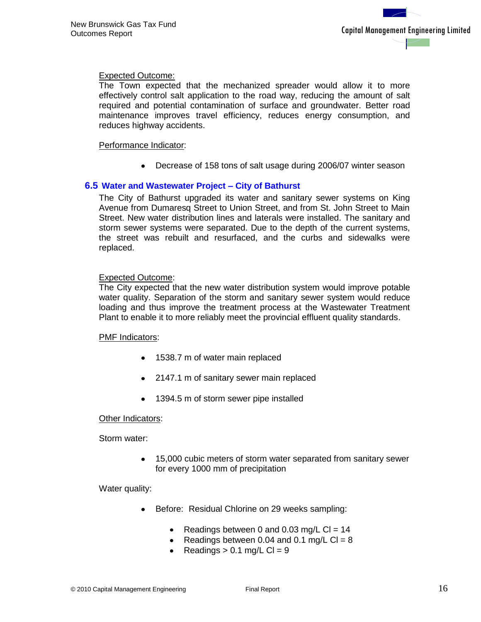### Expected Outcome:

The Town expected that the mechanized spreader would allow it to more effectively control salt application to the road way, reducing the amount of salt required and potential contamination of surface and groundwater. Better road maintenance improves travel efficiency, reduces energy consumption, and reduces highway accidents.

#### Performance Indicator:

Decrease of 158 tons of salt usage during 2006/07 winter season

#### <span id="page-20-0"></span>**6.5 Water and Wastewater Project – City of Bathurst**

The City of Bathurst upgraded its water and sanitary sewer systems on King Avenue from Dumaresq Street to Union Street, and from St. John Street to Main Street. New water distribution lines and laterals were installed. The sanitary and storm sewer systems were separated. Due to the depth of the current systems, the street was rebuilt and resurfaced, and the curbs and sidewalks were replaced.

#### Expected Outcome:

The City expected that the new water distribution system would improve potable water quality. Separation of the storm and sanitary sewer system would reduce loading and thus improve the treatment process at the Wastewater Treatment Plant to enable it to more reliably meet the provincial effluent quality standards.

#### PMF Indicators:

- 1538.7 m of water main replaced
- 2147.1 m of sanitary sewer main replaced
- 1394.5 m of storm sewer pipe installed

#### Other Indicators:

Storm water:

15,000 cubic meters of storm water separated from sanitary sewer for every 1000 mm of precipitation

Water quality:

- Before: Residual Chlorine on 29 weeks sampling:
	- Readings between 0 and 0.03 mg/L Cl =  $14$  $\bullet$
	- Readings between 0.04 and 0.1 mg/L  $Cl = 8$
	- Readings  $> 0.1$  mg/L Cl = 9  $\bullet$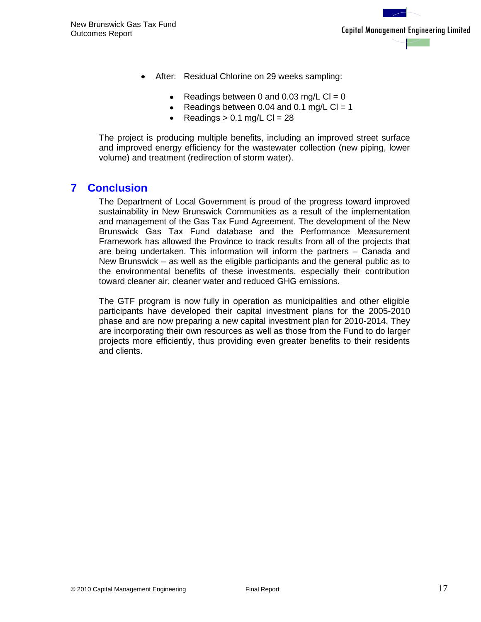- After: Residual Chlorine on 29 weeks sampling:
	- $\bullet$ Readings between 0 and 0.03 mg/L  $Cl = 0$
	- Readings between 0.04 and 0.1 mg/L Cl = 1
	- Readings  $> 0.1$  mg/L Cl = 28  $\bullet$

The project is producing multiple benefits, including an improved street surface and improved energy efficiency for the wastewater collection (new piping, lower volume) and treatment (redirection of storm water).

## <span id="page-21-0"></span>**7 Conclusion**

The Department of Local Government is proud of the progress toward improved sustainability in New Brunswick Communities as a result of the implementation and management of the Gas Tax Fund Agreement. The development of the New Brunswick Gas Tax Fund database and the Performance Measurement Framework has allowed the Province to track results from all of the projects that are being undertaken. This information will inform the partners – Canada and New Brunswick – as well as the eligible participants and the general public as to the environmental benefits of these investments, especially their contribution toward cleaner air, cleaner water and reduced GHG emissions.

The GTF program is now fully in operation as municipalities and other eligible participants have developed their capital investment plans for the 2005-2010 phase and are now preparing a new capital investment plan for 2010-2014. They are incorporating their own resources as well as those from the Fund to do larger projects more efficiently, thus providing even greater benefits to their residents and clients.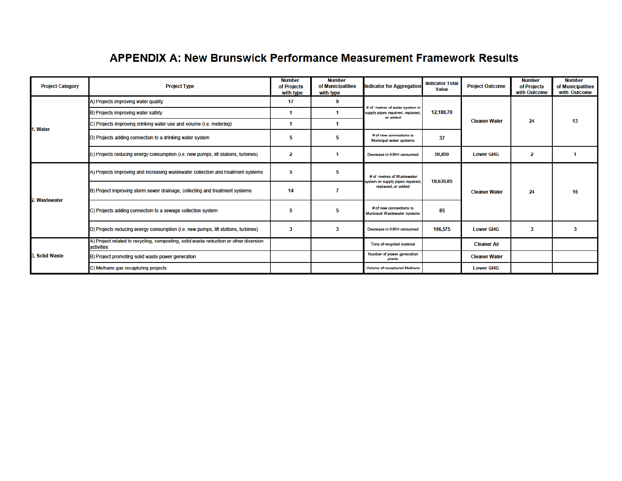## **APPENDIX A: New Brunswick Performance Measurement Framework Results**

| <b>Project Category</b> | <b>Project Type</b>                                                                                 | <b>Number</b><br>of Projects<br>with type | <b>Number</b><br>of Municipalities<br>with type | <b>Indicator for Aggregation</b>                                                    | <b>Indicator Total</b><br><b>Value</b> | <b>Project Outcome</b> | <b>Number</b><br>of Projects<br>with Outcome | <b>Number</b><br>of Municipalities<br>with Outcome |
|-------------------------|-----------------------------------------------------------------------------------------------------|-------------------------------------------|-------------------------------------------------|-------------------------------------------------------------------------------------|----------------------------------------|------------------------|----------------------------------------------|----------------------------------------------------|
|                         | A) Projects improving water quality                                                                 | 17                                        | 9                                               | # of metres of water system or                                                      |                                        |                        | 24                                           | 13                                                 |
|                         | B) Projects improving water safety                                                                  |                                           |                                                 | supply pipes repaired, replaced,<br>or added                                        | 12,188.70                              |                        |                                              |                                                    |
| 1. Water                | C) Projects improving drinking water use and volume (i.e. metering)                                 |                                           |                                                 |                                                                                     |                                        | <b>Cleaner Water</b>   |                                              |                                                    |
|                         | D) Projects adding connection to a drinking water system                                            | 5                                         | 5                                               | # of new connections to<br>Municipal water systems                                  | 37                                     |                        |                                              |                                                    |
|                         | E) Projects reducing energy consumption (i.e. new pumps, lift stations, turbines)                   | 2                                         |                                                 | Decrease in KWH consumed                                                            | 50,850                                 | <b>Lower GHG</b>       | 2                                            |                                                    |
| 2. Wastewater           | A) Projects improving and increasing wastewater collection and treatment systems                    | 5                                         | 5                                               | # of metres of Wastewater<br>system or supply pipes repaired,<br>replaced, or added | 18,639.85                              | <b>Cleaner Water</b>   | 24                                           | 16                                                 |
|                         | B) Project improving storm sewer drainage, collecting and treatment systems                         | 14                                        |                                                 |                                                                                     |                                        |                        |                                              |                                                    |
|                         | C) Projects adding connection to a sewage collection system                                         | 5                                         | 5                                               | # of new connections to<br>Municipal Wastewater systems                             | 85                                     |                        |                                              |                                                    |
|                         | D) Projects reducing energy consumption (i.e. new pumps, lift stations, turbines)                   | 3                                         | ٩                                               | Decrease in KWH consumed                                                            | 106.575                                | <b>Lower GHG</b>       |                                              | 3                                                  |
|                         | A) Project related to recycling, composting, solid waste reduction or other diversion<br>activities |                                           |                                                 | Tons of recycled material                                                           |                                        | <b>Cleaner Air</b>     |                                              |                                                    |
| 3. Solid Waste          | B) Project promoting solid waste power generation                                                   |                                           |                                                 | Number of power generation<br>plants                                                |                                        | <b>Cleaner Water</b>   |                                              |                                                    |
|                         | C) Methane gas recapturing projects                                                                 |                                           |                                                 | Volume of recaptured Methane                                                        |                                        | <b>Lower GHG</b>       |                                              |                                                    |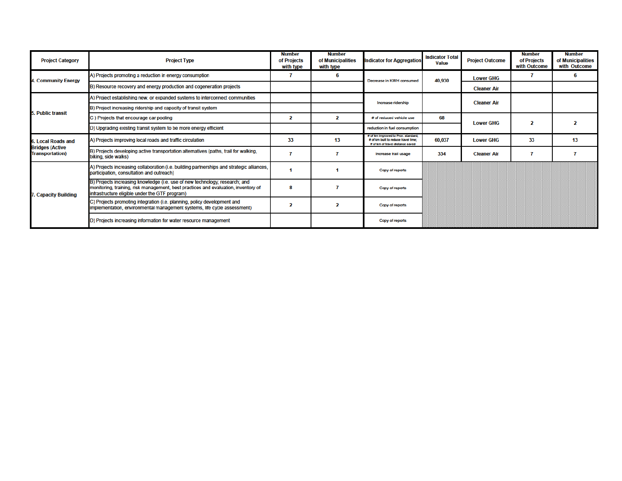| <b>Project Category</b>                          | <b>Project Type</b>                                                                                                                                                                                                 | <b>Number</b><br>of Projects<br>with type | <b>Number</b><br>of Municipalities<br>with type | <b>Indicator for Aggregation</b>                                                                                | <b>Indicator Total</b><br><b>Value</b> | <b>Project Outcome</b> | <b>Number</b><br>of Projects<br>with Outcome | <b>Number</b><br>of Municipalities<br>with Outcome |
|--------------------------------------------------|---------------------------------------------------------------------------------------------------------------------------------------------------------------------------------------------------------------------|-------------------------------------------|-------------------------------------------------|-----------------------------------------------------------------------------------------------------------------|----------------------------------------|------------------------|----------------------------------------------|----------------------------------------------------|
| 4. Community Energy                              | A) Projects promoting a reduction in energy consumption                                                                                                                                                             |                                           | 6                                               | Decrease in KWH consumed                                                                                        | 40,930                                 | <b>Lower GHG</b>       |                                              | 6                                                  |
|                                                  | B) Resource recovery and energy production and cogeneration projects                                                                                                                                                |                                           |                                                 |                                                                                                                 |                                        | <b>Cleaner Air</b>     |                                              |                                                    |
|                                                  | A) Project establishing new, or expanded systems to interconnect communities                                                                                                                                        |                                           |                                                 | Increase ridership                                                                                              |                                        | <b>Cleaner Air</b>     |                                              |                                                    |
| 5. Public transit                                | B) Project increasing ridership and capacity of transit system                                                                                                                                                      |                                           |                                                 |                                                                                                                 |                                        |                        |                                              |                                                    |
|                                                  | C) Projects that encourage car pooling                                                                                                                                                                              | 2                                         | $\mathbf{2}$                                    | # of reduced vehicle use                                                                                        | 68                                     | <b>Lower GHG</b>       | 2                                            | 2                                                  |
|                                                  | D) Upgrading existing transit system to be more energy efficient                                                                                                                                                    |                                           |                                                 | reduction in fuel consumption                                                                                   |                                        |                        |                                              |                                                    |
| 5. Local Roads and                               | A) Projects improving local roads and traffic circulation                                                                                                                                                           | 33                                        | 13                                              | # of km improved to Prov. standard;<br># of km built to reduce travel time:<br># of km of travel distance saved | 60,037                                 | <b>Lower GHG</b>       | 33                                           | 13                                                 |
| <b>Bridges (Active</b><br><b>Transportation)</b> | B) Projects developing active transportation alternatives (paths, trail for walking,<br>biking, side walks)                                                                                                         |                                           |                                                 | Increase trail usage                                                                                            | 334                                    | <b>Cleaner Air</b>     |                                              |                                                    |
|                                                  | A) Projects increasing collaboration (i.e. building partnerships and strategic alliances,<br>participation, consultation and outreach)                                                                              |                                           |                                                 | Copy of reports                                                                                                 |                                        |                        |                                              |                                                    |
| . Capacity Building                              | B) Projects increasing knowledge (i.e. use of new technology; research; and<br>monitoring, training, risk management, best practices and evaluation, inventory of<br>infrastructure eligible under the GTF program) |                                           |                                                 | Copy of reports                                                                                                 |                                        |                        |                                              |                                                    |
|                                                  | C) Projects promoting integration (i.e. planning, policy development and<br>implementation, environmental management systems, life cycle assessment)                                                                |                                           | $\overline{2}$                                  | Copy of reports                                                                                                 |                                        |                        |                                              |                                                    |
|                                                  | D) Projects increasing information for water resource management                                                                                                                                                    |                                           |                                                 | Copy of reports                                                                                                 |                                        |                        |                                              |                                                    |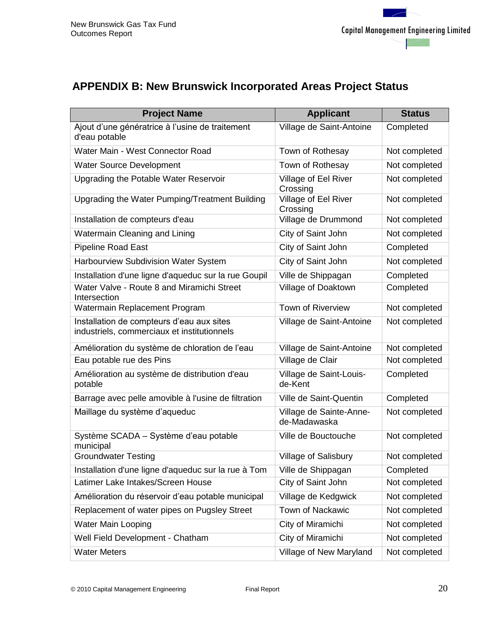# <span id="page-24-0"></span>**APPENDIX B: New Brunswick Incorporated Areas Project Status**

| <b>Project Name</b>                                                                      | <b>Applicant</b>                        | <b>Status</b> |
|------------------------------------------------------------------------------------------|-----------------------------------------|---------------|
| Ajout d'une génératrice à l'usine de traitement<br>d'eau potable                         | Village de Saint-Antoine                | Completed     |
| Water Main - West Connector Road                                                         | Town of Rothesay                        | Not completed |
| <b>Water Source Development</b>                                                          | Town of Rothesay                        | Not completed |
| Upgrading the Potable Water Reservoir                                                    | Village of Eel River<br>Crossing        | Not completed |
| Upgrading the Water Pumping/Treatment Building                                           | Village of Eel River<br>Crossing        | Not completed |
| Installation de compteurs d'eau                                                          | Village de Drummond                     | Not completed |
| Watermain Cleaning and Lining                                                            | City of Saint John                      | Not completed |
| Pipeline Road East                                                                       | City of Saint John                      | Completed     |
| Harbourview Subdivision Water System                                                     | City of Saint John                      | Not completed |
| Installation d'une ligne d'aqueduc sur la rue Goupil                                     | Ville de Shippagan                      | Completed     |
| Water Valve - Route 8 and Miramichi Street<br>Intersection                               | Village of Doaktown                     | Completed     |
| Watermain Replacement Program                                                            | <b>Town of Riverview</b>                | Not completed |
| Installation de compteurs d'eau aux sites<br>industriels, commerciaux et institutionnels | Village de Saint-Antoine                | Not completed |
| Amélioration du système de chloration de l'eau                                           | Village de Saint-Antoine                | Not completed |
| Eau potable rue des Pins                                                                 | Village de Clair                        | Not completed |
| Amélioration au système de distribution d'eau<br>potable                                 | Village de Saint-Louis-<br>de-Kent      | Completed     |
| Barrage avec pelle amovible à l'usine de filtration                                      | Ville de Saint-Quentin                  | Completed     |
| Maillage du système d'aqueduc                                                            | Village de Sainte-Anne-<br>de-Madawaska | Not completed |
| Système SCADA - Système d'eau potable<br>municipal                                       | Ville de Bouctouche                     | Not completed |
| <b>Groundwater Testing</b>                                                               | Village of Salisbury                    | Not completed |
| Installation d'une ligne d'aqueduc sur la rue à Tom                                      | Ville de Shippagan                      | Completed     |
| Latimer Lake Intakes/Screen House                                                        | City of Saint John                      | Not completed |
| Amélioration du réservoir d'eau potable municipal                                        | Village de Kedgwick                     | Not completed |
| Replacement of water pipes on Pugsley Street                                             | Town of Nackawic                        | Not completed |
| <b>Water Main Looping</b>                                                                | City of Miramichi                       | Not completed |
| Well Field Development - Chatham                                                         | City of Miramichi                       | Not completed |
| <b>Water Meters</b>                                                                      | Village of New Maryland                 | Not completed |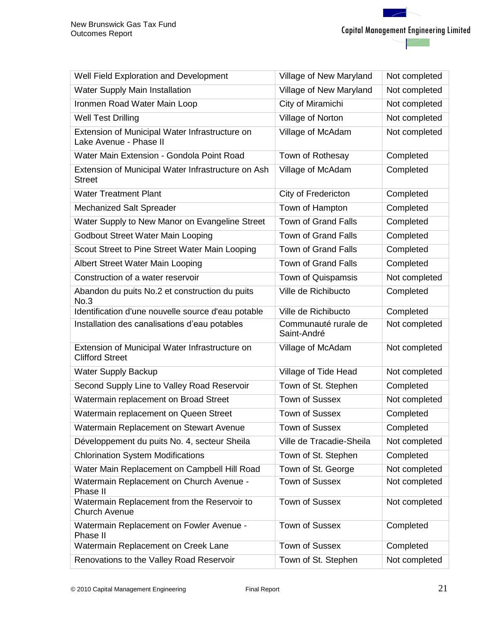| Well Field Exploration and Development                                   | Village of New Maryland             | Not completed |
|--------------------------------------------------------------------------|-------------------------------------|---------------|
| <b>Water Supply Main Installation</b>                                    | Village of New Maryland             | Not completed |
| Ironmen Road Water Main Loop                                             | City of Miramichi                   | Not completed |
| <b>Well Test Drilling</b>                                                | Village of Norton                   | Not completed |
| Extension of Municipal Water Infrastructure on<br>Lake Avenue - Phase II | Village of McAdam                   | Not completed |
| Water Main Extension - Gondola Point Road                                | Town of Rothesay                    | Completed     |
| Extension of Municipal Water Infrastructure on Ash<br><b>Street</b>      | Village of McAdam                   | Completed     |
| <b>Water Treatment Plant</b>                                             | City of Fredericton                 | Completed     |
| Mechanized Salt Spreader                                                 | Town of Hampton                     | Completed     |
| Water Supply to New Manor on Evangeline Street                           | <b>Town of Grand Falls</b>          | Completed     |
| Godbout Street Water Main Looping                                        | <b>Town of Grand Falls</b>          | Completed     |
| Scout Street to Pine Street Water Main Looping                           | <b>Town of Grand Falls</b>          | Completed     |
| Albert Street Water Main Looping                                         | <b>Town of Grand Falls</b>          | Completed     |
| Construction of a water reservoir                                        | Town of Quispamsis                  | Not completed |
| Abandon du puits No.2 et construction du puits<br>No.3                   | Ville de Richibucto                 | Completed     |
| Identification d'une nouvelle source d'eau potable                       | Ville de Richibucto                 | Completed     |
| Installation des canalisations d'eau potables                            | Communauté rurale de<br>Saint-André | Not completed |
| Extension of Municipal Water Infrastructure on<br><b>Clifford Street</b> | Village of McAdam                   | Not completed |
| <b>Water Supply Backup</b>                                               | Village of Tide Head                | Not completed |
| Second Supply Line to Valley Road Reservoir                              | Town of St. Stephen                 | Completed     |
| Watermain replacement on Broad Street                                    | <b>Town of Sussex</b>               | Not completed |
| Watermain replacement on Queen Street                                    | <b>Town of Sussex</b>               | Completed     |
| Watermain Replacement on Stewart Avenue                                  | <b>Town of Sussex</b>               | Completed     |
| Développement du puits No. 4, secteur Sheila                             | Ville de Tracadie-Sheila            | Not completed |
| <b>Chlorination System Modifications</b>                                 | Town of St. Stephen                 | Completed     |
| Water Main Replacement on Campbell Hill Road                             | Town of St. George                  | Not completed |
| Watermain Replacement on Church Avenue -<br>Phase II                     | <b>Town of Sussex</b>               | Not completed |
| Watermain Replacement from the Reservoir to<br><b>Church Avenue</b>      | Town of Sussex                      | Not completed |
| Watermain Replacement on Fowler Avenue -<br>Phase II                     | <b>Town of Sussex</b>               | Completed     |
| Watermain Replacement on Creek Lane                                      | <b>Town of Sussex</b>               | Completed     |
| Renovations to the Valley Road Reservoir                                 | Town of St. Stephen                 | Not completed |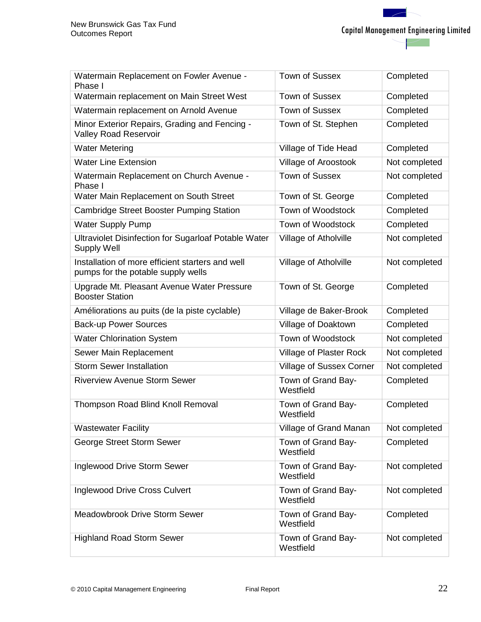Capital Management Engineering Limited

| Watermain Replacement on Fowler Avenue -<br>Phase I                                    | <b>Town of Sussex</b>           | Completed     |
|----------------------------------------------------------------------------------------|---------------------------------|---------------|
| Watermain replacement on Main Street West                                              | <b>Town of Sussex</b>           | Completed     |
| Watermain replacement on Arnold Avenue                                                 | <b>Town of Sussex</b>           | Completed     |
| Minor Exterior Repairs, Grading and Fencing -<br><b>Valley Road Reservoir</b>          | Town of St. Stephen             | Completed     |
| <b>Water Metering</b>                                                                  | Village of Tide Head            | Completed     |
| <b>Water Line Extension</b>                                                            | Village of Aroostook            | Not completed |
| Watermain Replacement on Church Avenue -<br>Phase I                                    | <b>Town of Sussex</b>           | Not completed |
| Water Main Replacement on South Street                                                 | Town of St. George              | Completed     |
| <b>Cambridge Street Booster Pumping Station</b>                                        | Town of Woodstock               | Completed     |
| <b>Water Supply Pump</b>                                                               | Town of Woodstock               | Completed     |
| Ultraviolet Disinfection for Sugarloaf Potable Water<br><b>Supply Well</b>             | Village of Atholville           | Not completed |
| Installation of more efficient starters and well<br>pumps for the potable supply wells | Village of Atholville           | Not completed |
| Upgrade Mt. Pleasant Avenue Water Pressure<br><b>Booster Station</b>                   | Town of St. George              | Completed     |
| Améliorations au puits (de la piste cyclable)                                          | Village de Baker-Brook          | Completed     |
| <b>Back-up Power Sources</b>                                                           | Village of Doaktown             | Completed     |
| <b>Water Chlorination System</b>                                                       | Town of Woodstock               | Not completed |
| Sewer Main Replacement                                                                 | Village of Plaster Rock         | Not completed |
| <b>Storm Sewer Installation</b>                                                        | <b>Village of Sussex Corner</b> | Not completed |
| <b>Riverview Avenue Storm Sewer</b>                                                    | Town of Grand Bay-<br>Westfield | Completed     |
| <b>Thompson Road Blind Knoll Removal</b>                                               | Town of Grand Bay-<br>Westfield | Completed     |
| <b>Wastewater Facility</b>                                                             | Village of Grand Manan          | Not completed |
| George Street Storm Sewer                                                              | Town of Grand Bay-<br>Westfield | Completed     |
| Inglewood Drive Storm Sewer                                                            | Town of Grand Bay-<br>Westfield | Not completed |
| <b>Inglewood Drive Cross Culvert</b>                                                   | Town of Grand Bay-<br>Westfield | Not completed |
| Meadowbrook Drive Storm Sewer                                                          | Town of Grand Bay-<br>Westfield | Completed     |
| <b>Highland Road Storm Sewer</b>                                                       | Town of Grand Bay-<br>Westfield | Not completed |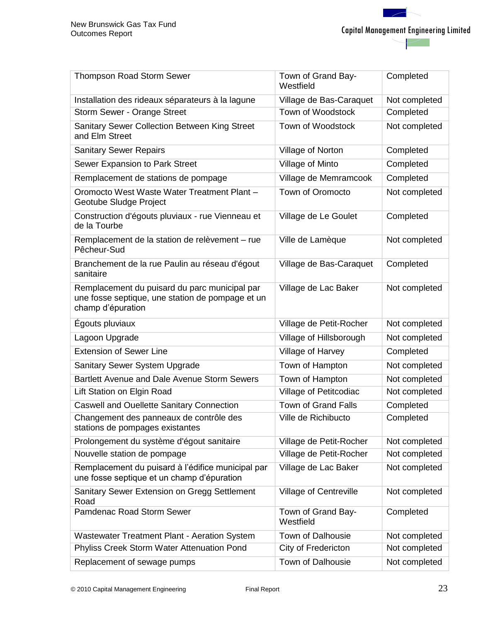| <b>Thompson Road Storm Sewer</b>                                                                                       | Town of Grand Bay-<br>Westfield | Completed     |
|------------------------------------------------------------------------------------------------------------------------|---------------------------------|---------------|
| Installation des rideaux séparateurs à la lagune                                                                       | Village de Bas-Caraquet         | Not completed |
| Storm Sewer - Orange Street                                                                                            | Town of Woodstock               | Completed     |
| Sanitary Sewer Collection Between King Street<br>and Elm Street                                                        | Town of Woodstock               | Not completed |
| <b>Sanitary Sewer Repairs</b>                                                                                          | Village of Norton               | Completed     |
| Sewer Expansion to Park Street                                                                                         | Village of Minto                | Completed     |
| Remplacement de stations de pompage                                                                                    | Village de Memramcook           | Completed     |
| Oromocto West Waste Water Treatment Plant -<br>Geotube Sludge Project                                                  | Town of Oromocto                | Not completed |
| Construction d'égouts pluviaux - rue Vienneau et<br>de la Tourbe                                                       | Village de Le Goulet            | Completed     |
| Remplacement de la station de relèvement - rue<br>Pêcheur-Sud                                                          | Ville de Lamèque                | Not completed |
| Branchement de la rue Paulin au réseau d'égout<br>sanitaire                                                            | Village de Bas-Caraquet         | Completed     |
| Remplacement du puisard du parc municipal par<br>une fosse septique, une station de pompage et un<br>champ d'épuration | Village de Lac Baker            | Not completed |
| Égouts pluviaux                                                                                                        | Village de Petit-Rocher         | Not completed |
| Lagoon Upgrade                                                                                                         | Village of Hillsborough         | Not completed |
| <b>Extension of Sewer Line</b>                                                                                         | Village of Harvey               | Completed     |
| Sanitary Sewer System Upgrade                                                                                          | Town of Hampton                 | Not completed |
| Bartlett Avenue and Dale Avenue Storm Sewers                                                                           | Town of Hampton                 | Not completed |
| Lift Station on Elgin Road                                                                                             |                                 |               |
|                                                                                                                        | Village of Petitcodiac          | Not completed |
| <b>Caswell and Ouellette Sanitary Connection</b>                                                                       | <b>Town of Grand Falls</b>      | Completed     |
| Changement des panneaux de contrôle des<br>stations de pompages existantes                                             | Ville de Richibucto             | Completed     |
| Prolongement du système d'égout sanitaire                                                                              | Village de Petit-Rocher         | Not completed |
| Nouvelle station de pompage                                                                                            | Village de Petit-Rocher         | Not completed |
| Remplacement du puisard à l'édifice municipal par<br>une fosse septique et un champ d'épuration                        | Village de Lac Baker            | Not completed |
| Sanitary Sewer Extension on Gregg Settlement<br>Road                                                                   | <b>Village of Centreville</b>   | Not completed |
| Pamdenac Road Storm Sewer                                                                                              | Town of Grand Bay-<br>Westfield | Completed     |
| Wastewater Treatment Plant - Aeration System                                                                           | Town of Dalhousie               | Not completed |
| Phyliss Creek Storm Water Attenuation Pond                                                                             | City of Fredericton             | Not completed |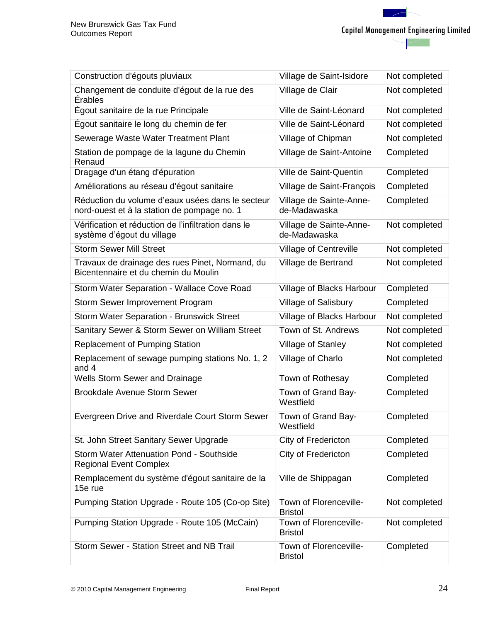| Construction d'égouts pluviaux                                                                  | Village de Saint-Isidore                 | Not completed |
|-------------------------------------------------------------------------------------------------|------------------------------------------|---------------|
| Changement de conduite d'égout de la rue des<br>Érables                                         | Village de Clair                         | Not completed |
| Égout sanitaire de la rue Principale                                                            | Ville de Saint-Léonard                   | Not completed |
| Égout sanitaire le long du chemin de fer                                                        | Ville de Saint-Léonard                   | Not completed |
| Sewerage Waste Water Treatment Plant                                                            | Village of Chipman                       | Not completed |
| Station de pompage de la lagune du Chemin<br>Renaud                                             | Village de Saint-Antoine                 | Completed     |
| Dragage d'un étang d'épuration                                                                  | Ville de Saint-Quentin                   | Completed     |
| Améliorations au réseau d'égout sanitaire                                                       | Village de Saint-François                | Completed     |
| Réduction du volume d'eaux usées dans le secteur<br>nord-ouest et à la station de pompage no. 1 | Village de Sainte-Anne-<br>de-Madawaska  | Completed     |
| Vérification et réduction de l'infiltration dans le<br>système d'égout du village               | Village de Sainte-Anne-<br>de-Madawaska  | Not completed |
| <b>Storm Sewer Mill Street</b>                                                                  | Village of Centreville                   | Not completed |
| Travaux de drainage des rues Pinet, Normand, du<br>Bicentennaire et du chemin du Moulin         | Village de Bertrand                      | Not completed |
| Storm Water Separation - Wallace Cove Road                                                      | Village of Blacks Harbour                | Completed     |
| Storm Sewer Improvement Program                                                                 | Village of Salisbury                     | Completed     |
| Storm Water Separation - Brunswick Street                                                       | Village of Blacks Harbour                | Not completed |
| Sanitary Sewer & Storm Sewer on William Street                                                  | Town of St. Andrews                      | Not completed |
| <b>Replacement of Pumping Station</b>                                                           | Village of Stanley                       | Not completed |
| Replacement of sewage pumping stations No. 1, 2<br>and 4                                        | Village of Charlo                        | Not completed |
| Wells Storm Sewer and Drainage                                                                  | Town of Rothesay                         | Completed     |
| <b>Brookdale Avenue Storm Sewer</b>                                                             | Town of Grand Bay-<br>Westfield          | Completed     |
| Evergreen Drive and Riverdale Court Storm Sewer                                                 | Town of Grand Bay-<br>Westfield          | Completed     |
| St. John Street Sanitary Sewer Upgrade                                                          | City of Fredericton                      | Completed     |
| <b>Storm Water Attenuation Pond - Southside</b><br><b>Regional Event Complex</b>                | City of Fredericton                      | Completed     |
| Remplacement du système d'égout sanitaire de la<br>15e rue                                      | Ville de Shippagan                       | Completed     |
| Pumping Station Upgrade - Route 105 (Co-op Site)                                                | Town of Florenceville-<br><b>Bristol</b> | Not completed |
| Pumping Station Upgrade - Route 105 (McCain)                                                    | Town of Florenceville-<br><b>Bristol</b> | Not completed |
| Storm Sewer - Station Street and NB Trail                                                       | Town of Florenceville-<br><b>Bristol</b> | Completed     |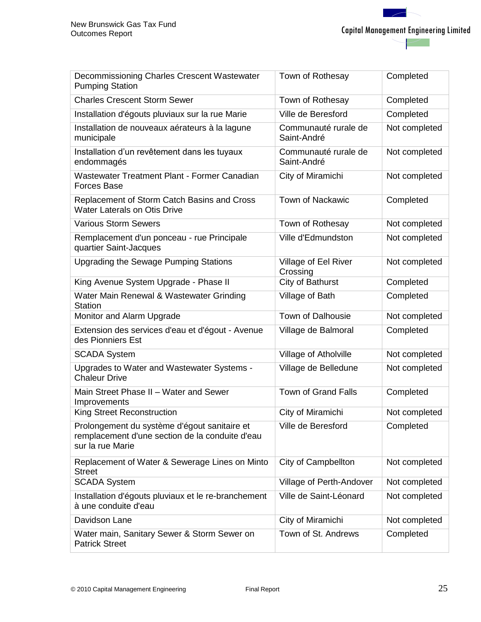| Decommissioning Charles Crescent Wastewater<br><b>Pumping Station</b>                                               | Town of Rothesay                    | Completed     |
|---------------------------------------------------------------------------------------------------------------------|-------------------------------------|---------------|
| <b>Charles Crescent Storm Sewer</b>                                                                                 | Town of Rothesay                    | Completed     |
| Installation d'égouts pluviaux sur la rue Marie                                                                     | Ville de Beresford                  | Completed     |
| Installation de nouveaux aérateurs à la lagune<br>municipale                                                        | Communauté rurale de<br>Saint-André | Not completed |
| Installation d'un revêtement dans les tuyaux<br>endommagés                                                          | Communauté rurale de<br>Saint-André | Not completed |
| Wastewater Treatment Plant - Former Canadian<br><b>Forces Base</b>                                                  | City of Miramichi                   | Not completed |
| Replacement of Storm Catch Basins and Cross<br><b>Water Laterals on Otis Drive</b>                                  | <b>Town of Nackawic</b>             | Completed     |
| <b>Various Storm Sewers</b>                                                                                         | Town of Rothesay                    | Not completed |
| Remplacement d'un ponceau - rue Principale<br>quartier Saint-Jacques                                                | Ville d'Edmundston                  | Not completed |
| Upgrading the Sewage Pumping Stations                                                                               | Village of Eel River<br>Crossing    | Not completed |
| King Avenue System Upgrade - Phase II                                                                               | City of Bathurst                    | Completed     |
| Water Main Renewal & Wastewater Grinding<br><b>Station</b>                                                          | Village of Bath                     | Completed     |
| Monitor and Alarm Upgrade                                                                                           | <b>Town of Dalhousie</b>            | Not completed |
| Extension des services d'eau et d'égout - Avenue<br>des Pionniers Est                                               | Village de Balmoral                 | Completed     |
| <b>SCADA System</b>                                                                                                 | Village of Atholville               | Not completed |
| Upgrades to Water and Wastewater Systems -<br><b>Chaleur Drive</b>                                                  | Village de Belledune                | Not completed |
| Main Street Phase II - Water and Sewer<br>Improvements                                                              | <b>Town of Grand Falls</b>          | Completed     |
| <b>King Street Reconstruction</b>                                                                                   | City of Miramichi                   | Not completed |
| Prolongement du système d'égout sanitaire et<br>remplacement d'une section de la conduite d'eau<br>sur la rue Marie | Ville de Beresford                  | Completed     |
| Replacement of Water & Sewerage Lines on Minto<br><b>Street</b>                                                     | City of Campbellton                 | Not completed |
| <b>SCADA System</b>                                                                                                 | Village of Perth-Andover            | Not completed |
| Installation d'égouts pluviaux et le re-branchement<br>à une conduite d'eau                                         | Ville de Saint-Léonard              | Not completed |
| Davidson Lane                                                                                                       | City of Miramichi                   | Not completed |
| Water main, Sanitary Sewer & Storm Sewer on<br><b>Patrick Street</b>                                                | Town of St. Andrews                 | Completed     |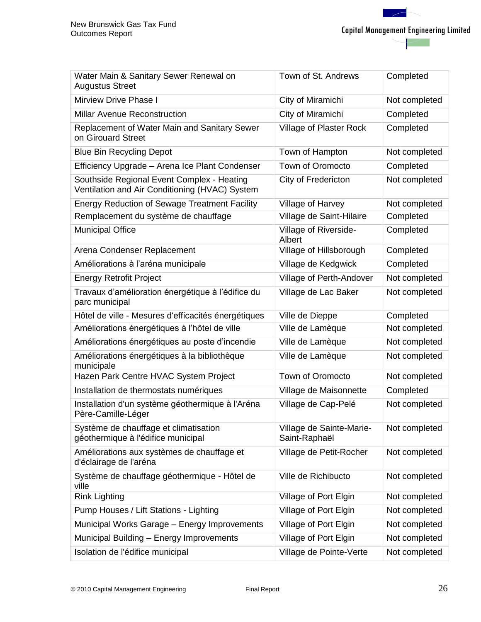| Water Main & Sanitary Sewer Renewal on<br><b>Augustus Street</b>                             | Town of St. Andrews                       | Completed     |
|----------------------------------------------------------------------------------------------|-------------------------------------------|---------------|
| <b>Mirview Drive Phase I</b>                                                                 | City of Miramichi                         | Not completed |
| <b>Millar Avenue Reconstruction</b>                                                          | City of Miramichi                         | Completed     |
| Replacement of Water Main and Sanitary Sewer<br>on Girouard Street                           | Village of Plaster Rock                   | Completed     |
| <b>Blue Bin Recycling Depot</b>                                                              | Town of Hampton                           | Not completed |
| Efficiency Upgrade - Arena Ice Plant Condenser                                               | <b>Town of Oromocto</b>                   | Completed     |
| Southside Regional Event Complex - Heating<br>Ventilation and Air Conditioning (HVAC) System | City of Fredericton                       | Not completed |
| <b>Energy Reduction of Sewage Treatment Facility</b>                                         | Village of Harvey                         | Not completed |
| Remplacement du système de chauffage                                                         | Village de Saint-Hilaire                  | Completed     |
| <b>Municipal Office</b>                                                                      | Village of Riverside-<br>Albert           | Completed     |
| Arena Condenser Replacement                                                                  | Village of Hillsborough                   | Completed     |
| Améliorations à l'aréna municipale                                                           | Village de Kedgwick                       | Completed     |
| <b>Energy Retrofit Project</b>                                                               | Village of Perth-Andover                  | Not completed |
| Travaux d'amélioration énergétique à l'édifice du<br>parc municipal                          | Village de Lac Baker                      | Not completed |
| Hôtel de ville - Mesures d'efficacités énergétiques                                          | Ville de Dieppe                           | Completed     |
| Améliorations énergétiques à l'hôtel de ville                                                | Ville de Lamèque                          | Not completed |
| Améliorations énergétiques au poste d'incendie                                               | Ville de Lamèque                          | Not completed |
| Améliorations énergétiques à la bibliothèque<br>municipale                                   | Ville de Lamèque                          | Not completed |
| Hazen Park Centre HVAC System Project                                                        | Town of Oromocto                          | Not completed |
| Installation de thermostats numériques                                                       | Village de Maisonnette                    | Completed     |
| Installation d'un système géothermique à l'Aréna<br>Père-Camille-Léger                       | Village de Cap-Pelé                       | Not completed |
| Système de chauffage et climatisation<br>géothermique à l'édifice municipal                  | Village de Sainte-Marie-<br>Saint-Raphaël | Not completed |
| Améliorations aux systèmes de chauffage et<br>d'éclairage de l'aréna                         | Village de Petit-Rocher                   | Not completed |
| Système de chauffage géothermique - Hôtel de<br>ville                                        | Ville de Richibucto                       | Not completed |
| <b>Rink Lighting</b>                                                                         | Village of Port Elgin                     | Not completed |
| Pump Houses / Lift Stations - Lighting                                                       | Village of Port Elgin                     | Not completed |
| Municipal Works Garage - Energy Improvements                                                 | Village of Port Elgin                     | Not completed |
| Municipal Building - Energy Improvements                                                     | Village of Port Elgin                     | Not completed |
| Isolation de l'édifice municipal                                                             | Village de Pointe-Verte                   | Not completed |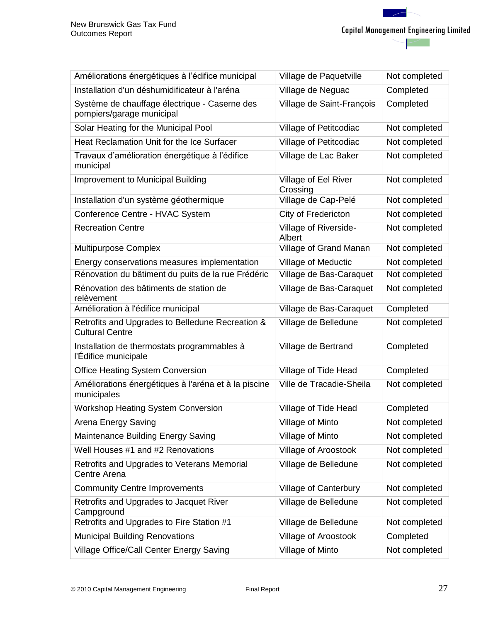| Améliorations énergétiques à l'édifice municipal                           | Village de Paquetville           | Not completed |
|----------------------------------------------------------------------------|----------------------------------|---------------|
| Installation d'un déshumidificateur à l'aréna                              | Village de Neguac                | Completed     |
| Système de chauffage électrique - Caserne des<br>pompiers/garage municipal | Village de Saint-François        | Completed     |
| Solar Heating for the Municipal Pool                                       | Village of Petitcodiac           | Not completed |
| Heat Reclamation Unit for the Ice Surfacer                                 | Village of Petitcodiac           | Not completed |
| Travaux d'amélioration énergétique à l'édifice<br>municipal                | Village de Lac Baker             | Not completed |
| Improvement to Municipal Building                                          | Village of Eel River<br>Crossing | Not completed |
| Installation d'un système géothermique                                     | Village de Cap-Pelé              | Not completed |
| Conference Centre - HVAC System                                            | City of Fredericton              | Not completed |
| <b>Recreation Centre</b>                                                   | Village of Riverside-<br>Albert  | Not completed |
| Multipurpose Complex                                                       | Village of Grand Manan           | Not completed |
| Energy conservations measures implementation                               | <b>Village of Meductic</b>       | Not completed |
| Rénovation du bâtiment du puits de la rue Frédéric                         | Village de Bas-Caraquet          | Not completed |
| Rénovation des bâtiments de station de<br>relèvement                       | Village de Bas-Caraquet          | Not completed |
| Amélioration à l'édifice municipal                                         | Village de Bas-Caraquet          | Completed     |
| Retrofits and Upgrades to Belledune Recreation &<br><b>Cultural Centre</b> | Village de Belledune             | Not completed |
| Installation de thermostats programmables à<br>l'Édifice municipale        | Village de Bertrand              | Completed     |
| <b>Office Heating System Conversion</b>                                    | Village of Tide Head             | Completed     |
| Améliorations énergétiques à l'aréna et à la piscine<br>municipales        | Ville de Tracadie-Sheila         | Not completed |
| <b>Workshop Heating System Conversion</b>                                  | Village of Tide Head             | Completed     |
| Arena Energy Saving                                                        | Village of Minto                 | Not completed |
| Maintenance Building Energy Saving                                         | Village of Minto                 | Not completed |
| Well Houses #1 and #2 Renovations                                          | Village of Aroostook             | Not completed |
| Retrofits and Upgrades to Veterans Memorial<br>Centre Arena                | Village de Belledune             | Not completed |
| <b>Community Centre Improvements</b>                                       | Village of Canterbury            | Not completed |
| Retrofits and Upgrades to Jacquet River<br>Campground                      | Village de Belledune             | Not completed |
| Retrofits and Upgrades to Fire Station #1                                  | Village de Belledune             | Not completed |
| <b>Municipal Building Renovations</b>                                      | Village of Aroostook             | Completed     |
| Village Office/Call Center Energy Saving                                   | Village of Minto                 | Not completed |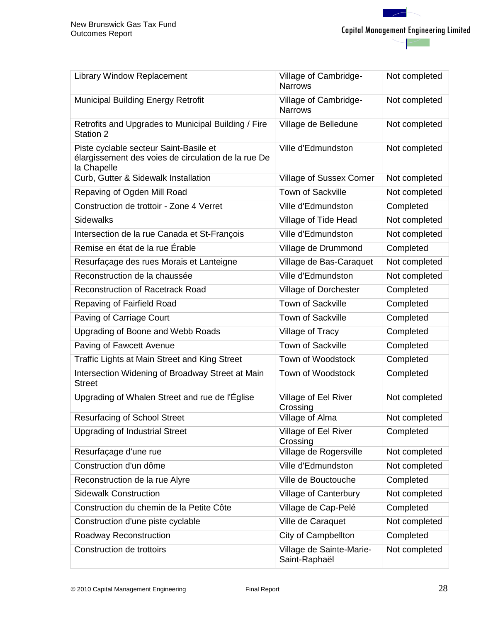| <b>Library Window Replacement</b>                                                                            | Village of Cambridge-<br><b>Narrows</b>   | Not completed |
|--------------------------------------------------------------------------------------------------------------|-------------------------------------------|---------------|
| <b>Municipal Building Energy Retrofit</b>                                                                    | Village of Cambridge-<br><b>Narrows</b>   | Not completed |
| Retrofits and Upgrades to Municipal Building / Fire<br>Station 2                                             | Village de Belledune                      | Not completed |
| Piste cyclable secteur Saint-Basile et<br>élargissement des voies de circulation de la rue De<br>la Chapelle | Ville d'Edmundston                        | Not completed |
| Curb, Gutter & Sidewalk Installation                                                                         | <b>Village of Sussex Corner</b>           | Not completed |
| Repaving of Ogden Mill Road                                                                                  | <b>Town of Sackville</b>                  | Not completed |
| Construction de trottoir - Zone 4 Verret                                                                     | Ville d'Edmundston                        | Completed     |
| <b>Sidewalks</b>                                                                                             | Village of Tide Head                      | Not completed |
| Intersection de la rue Canada et St-François                                                                 | Ville d'Edmundston                        | Not completed |
| Remise en état de la rue Érable                                                                              | Village de Drummond                       | Completed     |
| Resurfaçage des rues Morais et Lanteigne                                                                     | Village de Bas-Caraquet                   | Not completed |
| Reconstruction de la chaussée                                                                                | Ville d'Edmundston                        | Not completed |
| <b>Reconstruction of Racetrack Road</b>                                                                      | Village of Dorchester                     | Completed     |
| Repaving of Fairfield Road                                                                                   | <b>Town of Sackville</b>                  | Completed     |
| Paving of Carriage Court                                                                                     | <b>Town of Sackville</b>                  | Completed     |
| Upgrading of Boone and Webb Roads                                                                            | Village of Tracy                          | Completed     |
| Paving of Fawcett Avenue                                                                                     | Town of Sackville                         | Completed     |
| Traffic Lights at Main Street and King Street                                                                | Town of Woodstock                         | Completed     |
| Intersection Widening of Broadway Street at Main<br><b>Street</b>                                            | Town of Woodstock                         | Completed     |
| Upgrading of Whalen Street and rue de l'Église                                                               | Village of Eel River<br>Crossing          | Not completed |
| <b>Resurfacing of School Street</b>                                                                          | Village of Alma                           | Not completed |
| <b>Upgrading of Industrial Street</b>                                                                        | Village of Eel River<br>Crossing          | Completed     |
| Resurfaçage d'une rue                                                                                        | Village de Rogersville                    | Not completed |
| Construction d'un dôme                                                                                       | Ville d'Edmundston                        | Not completed |
| Reconstruction de la rue Alyre                                                                               | Ville de Bouctouche                       | Completed     |
| <b>Sidewalk Construction</b>                                                                                 | <b>Village of Canterbury</b>              | Not completed |
| Construction du chemin de la Petite Côte                                                                     | Village de Cap-Pelé                       | Completed     |
| Construction d'une piste cyclable                                                                            | Ville de Caraquet                         | Not completed |
| Roadway Reconstruction                                                                                       | <b>City of Campbellton</b>                | Completed     |
| Construction de trottoirs                                                                                    | Village de Sainte-Marie-<br>Saint-Raphaël | Not completed |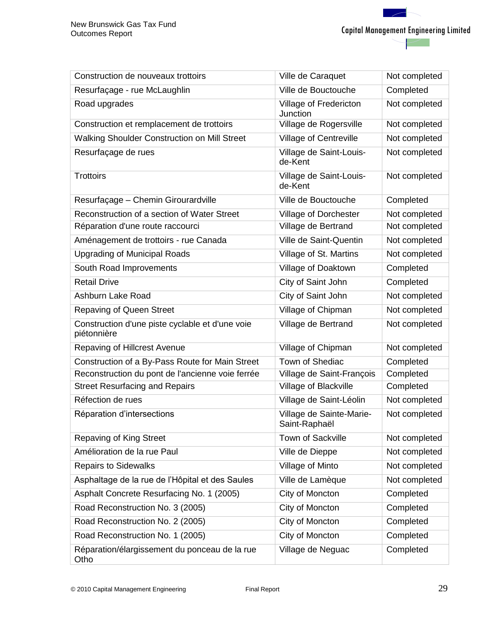| Construction de nouveaux trottoirs                             | Ville de Caraquet                         | Not completed |
|----------------------------------------------------------------|-------------------------------------------|---------------|
| Resurfaçage - rue McLaughlin                                   | Ville de Bouctouche                       | Completed     |
| Road upgrades                                                  | Village of Fredericton<br>Junction        | Not completed |
| Construction et remplacement de trottoirs                      | Village de Rogersville                    | Not completed |
| Walking Shoulder Construction on Mill Street                   | Village of Centreville                    | Not completed |
| Resurfaçage de rues                                            | Village de Saint-Louis-<br>de-Kent        | Not completed |
| <b>Trottoirs</b>                                               | Village de Saint-Louis-<br>de-Kent        | Not completed |
| Resurfaçage - Chemin Girourardville                            | Ville de Bouctouche                       | Completed     |
| Reconstruction of a section of Water Street                    | Village of Dorchester                     | Not completed |
| Réparation d'une route raccourci                               | Village de Bertrand                       | Not completed |
| Aménagement de trottoirs - rue Canada                          | Ville de Saint-Quentin                    | Not completed |
| <b>Upgrading of Municipal Roads</b>                            | Village of St. Martins                    | Not completed |
| South Road Improvements                                        | Village of Doaktown                       | Completed     |
| <b>Retail Drive</b>                                            | City of Saint John                        | Completed     |
| Ashburn Lake Road                                              | City of Saint John                        | Not completed |
| <b>Repaving of Queen Street</b>                                | Village of Chipman                        | Not completed |
| Construction d'une piste cyclable et d'une voie<br>piétonnière | Village de Bertrand                       | Not completed |
| Repaving of Hillcrest Avenue                                   | Village of Chipman                        | Not completed |
| Construction of a By-Pass Route for Main Street                | Town of Shediac                           | Completed     |
| Reconstruction du pont de l'ancienne voie ferrée               | Village de Saint-François                 | Completed     |
| <b>Street Resurfacing and Repairs</b>                          | Village of Blackville                     | Completed     |
| Réfection de rues                                              | Village de Saint-Léolin                   | Not completed |
| Réparation d'intersections                                     | Village de Sainte-Marie-<br>Saint-Raphaël | Not completed |
| Repaving of King Street                                        | Town of Sackville                         | Not completed |
| Amélioration de la rue Paul                                    | Ville de Dieppe                           | Not completed |
| <b>Repairs to Sidewalks</b>                                    | Village of Minto                          | Not completed |
| Asphaltage de la rue de l'Hôpital et des Saules                | Ville de Lamèque                          | Not completed |
| Asphalt Concrete Resurfacing No. 1 (2005)                      | City of Moncton                           | Completed     |
| Road Reconstruction No. 3 (2005)                               | City of Moncton                           | Completed     |
| Road Reconstruction No. 2 (2005)                               | City of Moncton                           | Completed     |
| Road Reconstruction No. 1 (2005)                               | City of Moncton                           | Completed     |
| Réparation/élargissement du ponceau de la rue<br>Otho          | Village de Neguac                         | Completed     |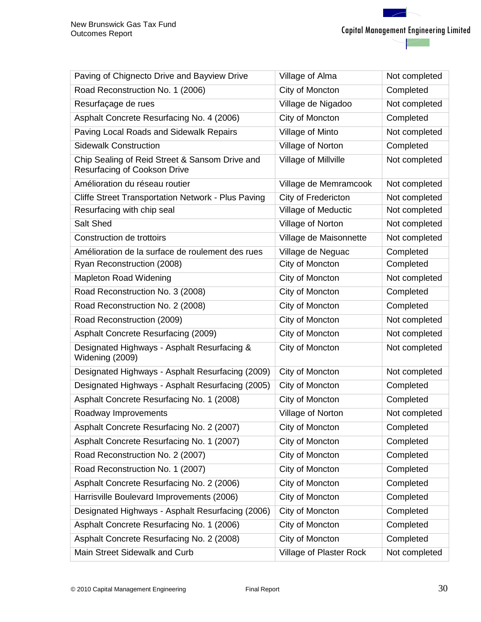Capital Management Engineering Limited

| Paving of Chignecto Drive and Bayview Drive                                           | Village of Alma         | Not completed |
|---------------------------------------------------------------------------------------|-------------------------|---------------|
| Road Reconstruction No. 1 (2006)                                                      | City of Moncton         | Completed     |
| Resurfaçage de rues                                                                   | Village de Nigadoo      | Not completed |
| Asphalt Concrete Resurfacing No. 4 (2006)                                             | City of Moncton         | Completed     |
| Paving Local Roads and Sidewalk Repairs                                               | Village of Minto        | Not completed |
| <b>Sidewalk Construction</b>                                                          | Village of Norton       | Completed     |
| Chip Sealing of Reid Street & Sansom Drive and<br><b>Resurfacing of Cookson Drive</b> | Village of Millville    | Not completed |
| Amélioration du réseau routier                                                        | Village de Memramcook   | Not completed |
| Cliffe Street Transportation Network - Plus Paving                                    | City of Fredericton     | Not completed |
| Resurfacing with chip seal                                                            | Village of Meductic     | Not completed |
| Salt Shed                                                                             | Village of Norton       | Not completed |
| Construction de trottoirs                                                             | Village de Maisonnette  | Not completed |
| Amélioration de la surface de roulement des rues                                      | Village de Neguac       | Completed     |
| Ryan Reconstruction (2008)                                                            | City of Moncton         | Completed     |
| Mapleton Road Widening                                                                | City of Moncton         | Not completed |
| Road Reconstruction No. 3 (2008)                                                      | City of Moncton         | Completed     |
| Road Reconstruction No. 2 (2008)                                                      | City of Moncton         | Completed     |
| Road Reconstruction (2009)                                                            | City of Moncton         | Not completed |
| Asphalt Concrete Resurfacing (2009)                                                   | City of Moncton         | Not completed |
| Designated Highways - Asphalt Resurfacing &<br>Widening (2009)                        | City of Moncton         | Not completed |
| Designated Highways - Asphalt Resurfacing (2009)                                      | City of Moncton         | Not completed |
| Designated Highways - Asphalt Resurfacing (2005)                                      | City of Moncton         | Completed     |
| Asphalt Concrete Resurfacing No. 1 (2008)                                             | City of Moncton         | Completed     |
| Roadway Improvements                                                                  | Village of Norton       | Not completed |
| Asphalt Concrete Resurfacing No. 2 (2007)                                             | City of Moncton         | Completed     |
| Asphalt Concrete Resurfacing No. 1 (2007)                                             | City of Moncton         | Completed     |
| Road Reconstruction No. 2 (2007)                                                      | City of Moncton         | Completed     |
| Road Reconstruction No. 1 (2007)                                                      | City of Moncton         | Completed     |
| Asphalt Concrete Resurfacing No. 2 (2006)                                             | City of Moncton         | Completed     |
| Harrisville Boulevard Improvements (2006)                                             | City of Moncton         | Completed     |
| Designated Highways - Asphalt Resurfacing (2006)                                      | City of Moncton         | Completed     |
| Asphalt Concrete Resurfacing No. 1 (2006)                                             | City of Moncton         | Completed     |
| Asphalt Concrete Resurfacing No. 2 (2008)                                             | City of Moncton         | Completed     |
| Main Street Sidewalk and Curb                                                         | Village of Plaster Rock | Not completed |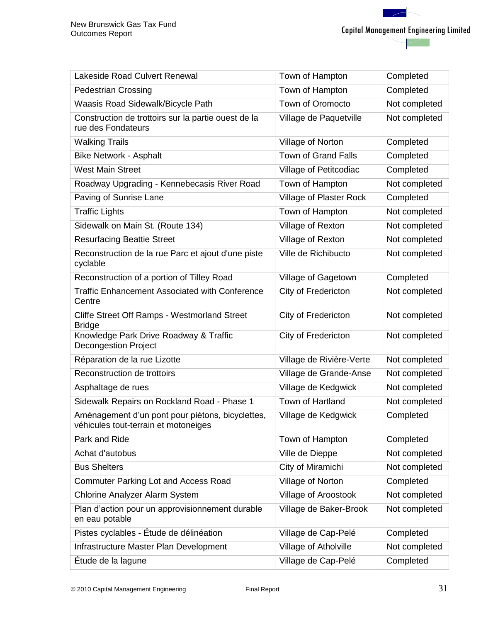| <b>Lakeside Road Culvert Renewal</b>                                                     | Town of Hampton          | Completed     |
|------------------------------------------------------------------------------------------|--------------------------|---------------|
| <b>Pedestrian Crossing</b>                                                               | Town of Hampton          | Completed     |
| Waasis Road Sidewalk/Bicycle Path                                                        | Town of Oromocto         | Not completed |
| Construction de trottoirs sur la partie ouest de la<br>rue des Fondateurs                | Village de Paquetville   | Not completed |
| <b>Walking Trails</b>                                                                    | Village of Norton        | Completed     |
| <b>Bike Network - Asphalt</b>                                                            | Town of Grand Falls      | Completed     |
| <b>West Main Street</b>                                                                  | Village of Petitcodiac   | Completed     |
| Roadway Upgrading - Kennebecasis River Road                                              | Town of Hampton          | Not completed |
| Paving of Sunrise Lane                                                                   | Village of Plaster Rock  | Completed     |
| <b>Traffic Lights</b>                                                                    | Town of Hampton          | Not completed |
| Sidewalk on Main St. (Route 134)                                                         | Village of Rexton        | Not completed |
| <b>Resurfacing Beattie Street</b>                                                        | Village of Rexton        | Not completed |
| Reconstruction de la rue Parc et ajout d'une piste<br>cyclable                           | Ville de Richibucto      | Not completed |
| Reconstruction of a portion of Tilley Road                                               | Village of Gagetown      | Completed     |
| <b>Traffic Enhancement Associated with Conference</b><br>Centre                          | City of Fredericton      | Not completed |
| Cliffe Street Off Ramps - Westmorland Street<br><b>Bridge</b>                            | City of Fredericton      | Not completed |
| Knowledge Park Drive Roadway & Traffic<br><b>Decongestion Project</b>                    | City of Fredericton      | Not completed |
| Réparation de la rue Lizotte                                                             | Village de Rivière-Verte | Not completed |
| Reconstruction de trottoirs                                                              | Village de Grande-Anse   | Not completed |
| Asphaltage de rues                                                                       | Village de Kedgwick      | Not completed |
| Sidewalk Repairs on Rockland Road - Phase 1                                              | Town of Hartland         | Not completed |
| Aménagement d'un pont pour piétons, bicyclettes,<br>véhicules tout-terrain et motoneiges | Village de Kedgwick      | Completed     |
| Park and Ride                                                                            | Town of Hampton          | Completed     |
| Achat d'autobus                                                                          | Ville de Dieppe          | Not completed |
| <b>Bus Shelters</b>                                                                      | City of Miramichi        | Not completed |
| <b>Commuter Parking Lot and Access Road</b>                                              | Village of Norton        | Completed     |
| <b>Chlorine Analyzer Alarm System</b>                                                    | Village of Aroostook     | Not completed |
| Plan d'action pour un approvisionnement durable<br>en eau potable                        | Village de Baker-Brook   | Not completed |
| Pistes cyclables - Étude de délinéation                                                  | Village de Cap-Pelé      | Completed     |
| Infrastructure Master Plan Development                                                   | Village of Atholville    | Not completed |
| Étude de la lagune                                                                       | Village de Cap-Pelé      | Completed     |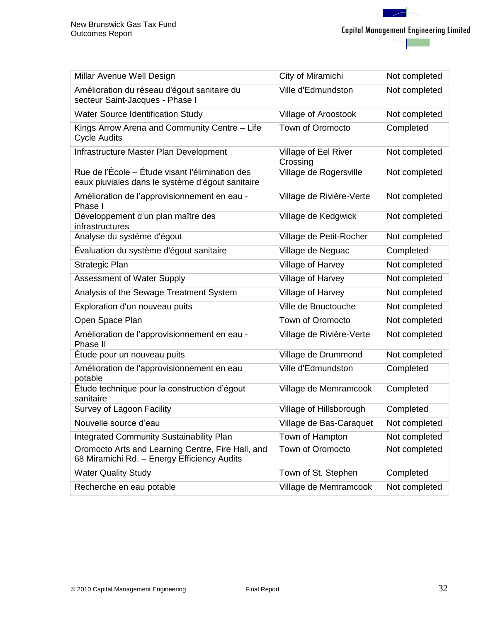| Millar Avenue Well Design                                                                           | City of Miramichi                | Not completed |
|-----------------------------------------------------------------------------------------------------|----------------------------------|---------------|
| Amélioration du réseau d'égout sanitaire du<br>secteur Saint-Jacques - Phase I                      | Ville d'Edmundston               | Not completed |
| <b>Water Source Identification Study</b>                                                            | Village of Aroostook             | Not completed |
| Kings Arrow Arena and Community Centre - Life<br><b>Cycle Audits</b>                                | <b>Town of Oromocto</b>          | Completed     |
| Infrastructure Master Plan Development                                                              | Village of Eel River<br>Crossing | Not completed |
| Rue de l'École – Étude visant l'élimination des<br>eaux pluviales dans le système d'égout sanitaire | Village de Rogersville           | Not completed |
| Amélioration de l'approvisionnement en eau -<br>Phase I                                             | Village de Rivière-Verte         | Not completed |
| Développement d'un plan maître des<br>infrastructures                                               | Village de Kedgwick              | Not completed |
| Analyse du système d'égout                                                                          | Village de Petit-Rocher          | Not completed |
| Évaluation du système d'égout sanitaire                                                             | Village de Neguac                | Completed     |
| Strategic Plan                                                                                      | Village of Harvey                | Not completed |
| <b>Assessment of Water Supply</b>                                                                   | Village of Harvey                | Not completed |
| Analysis of the Sewage Treatment System                                                             | Village of Harvey                | Not completed |
| Exploration d'un nouveau puits                                                                      | Ville de Bouctouche              | Not completed |
| Open Space Plan                                                                                     | Town of Oromocto                 | Not completed |
| Amélioration de l'approvisionnement en eau -<br>Phase II                                            | Village de Rivière-Verte         | Not completed |
| Étude pour un nouveau puits                                                                         | Village de Drummond              | Not completed |
| Amélioration de l'approvisionnement en eau<br>potable                                               | Ville d'Edmundston               | Completed     |
| Étude technique pour la construction d'égout<br>sanitaire                                           | Village de Memramcook            | Completed     |
| Survey of Lagoon Facility                                                                           | Village of Hillsborough          | Completed     |
| Nouvelle source d'eau                                                                               | Village de Bas-Caraquet          | Not completed |
| Integrated Community Sustainability Plan                                                            | Town of Hampton                  | Not completed |
| Oromocto Arts and Learning Centre, Fire Hall, and<br>68 Miramichi Rd. - Energy Efficiency Audits    | Town of Oromocto                 | Not completed |
| <b>Water Quality Study</b>                                                                          | Town of St. Stephen              | Completed     |
| Recherche en eau potable                                                                            | Village de Memramcook            | Not completed |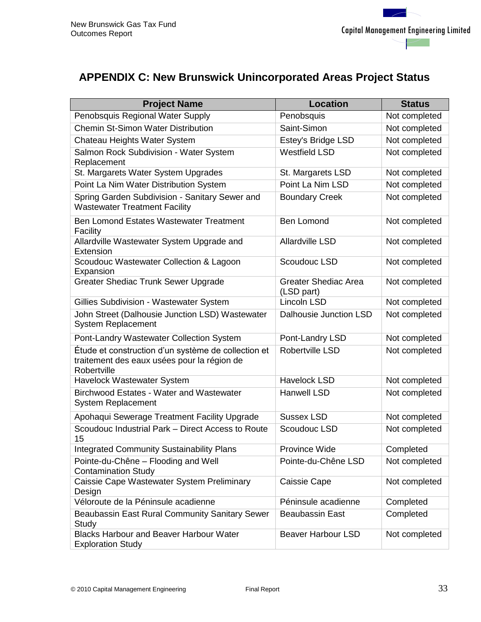# <span id="page-37-0"></span>**APPENDIX C: New Brunswick Unincorporated Areas Project Status**

| <b>Project Name</b>                                                                                               | <b>Location</b>                           | <b>Status</b> |
|-------------------------------------------------------------------------------------------------------------------|-------------------------------------------|---------------|
| Penobsquis Regional Water Supply                                                                                  | Penobsquis                                | Not completed |
| <b>Chemin St-Simon Water Distribution</b>                                                                         | Saint-Simon                               | Not completed |
| Chateau Heights Water System                                                                                      | <b>Estey's Bridge LSD</b>                 | Not completed |
| Salmon Rock Subdivision - Water System<br>Replacement                                                             | <b>Westfield LSD</b>                      | Not completed |
| St. Margarets Water System Upgrades                                                                               | St. Margarets LSD                         | Not completed |
| Point La Nim Water Distribution System                                                                            | Point La Nim LSD                          | Not completed |
| Spring Garden Subdivision - Sanitary Sewer and<br><b>Wastewater Treatment Facility</b>                            | <b>Boundary Creek</b>                     | Not completed |
| Ben Lomond Estates Wastewater Treatment<br>Facility                                                               | <b>Ben Lomond</b>                         | Not completed |
| Allardville Wastewater System Upgrade and<br>Extension                                                            | <b>Allardville LSD</b>                    | Not completed |
| Scoudouc Wastewater Collection & Lagoon<br>Expansion                                                              | Scoudouc LSD                              | Not completed |
| <b>Greater Shediac Trunk Sewer Upgrade</b>                                                                        | <b>Greater Shediac Area</b><br>(LSD part) | Not completed |
| Gillies Subdivision - Wastewater System                                                                           | Lincoln LSD                               | Not completed |
| John Street (Dalhousie Junction LSD) Wastewater<br><b>System Replacement</b>                                      | Dalhousie Junction LSD                    | Not completed |
| Pont-Landry Wastewater Collection System                                                                          | Pont-Landry LSD                           | Not completed |
| Étude et construction d'un système de collection et<br>traitement des eaux usées pour la région de<br>Robertville | Robertville LSD                           | Not completed |
| Havelock Wastewater System                                                                                        | <b>Havelock LSD</b>                       | Not completed |
| <b>Birchwood Estates - Water and Wastewater</b><br><b>System Replacement</b>                                      | <b>Hanwell LSD</b>                        | Not completed |
| Apohaqui Sewerage Treatment Facility Upgrade                                                                      | <b>Sussex LSD</b>                         | Not completed |
| Scoudouc Industrial Park - Direct Access to Route<br>15                                                           | Scoudouc LSD                              | Not completed |
| <b>Integrated Community Sustainability Plans</b>                                                                  | Province Wide                             | Completed     |
| Pointe-du-Chêne - Flooding and Well<br><b>Contamination Study</b>                                                 | Pointe-du-Chêne LSD                       | Not completed |
| Caissie Cape Wastewater System Preliminary<br>Design                                                              | Caissie Cape                              | Not completed |
| Véloroute de la Péninsule acadienne                                                                               | Péninsule acadienne                       | Completed     |
| Beaubassin East Rural Community Sanitary Sewer<br>Study                                                           | <b>Beaubassin East</b>                    | Completed     |
| <b>Blacks Harbour and Beaver Harbour Water</b><br><b>Exploration Study</b>                                        | <b>Beaver Harbour LSD</b>                 | Not completed |